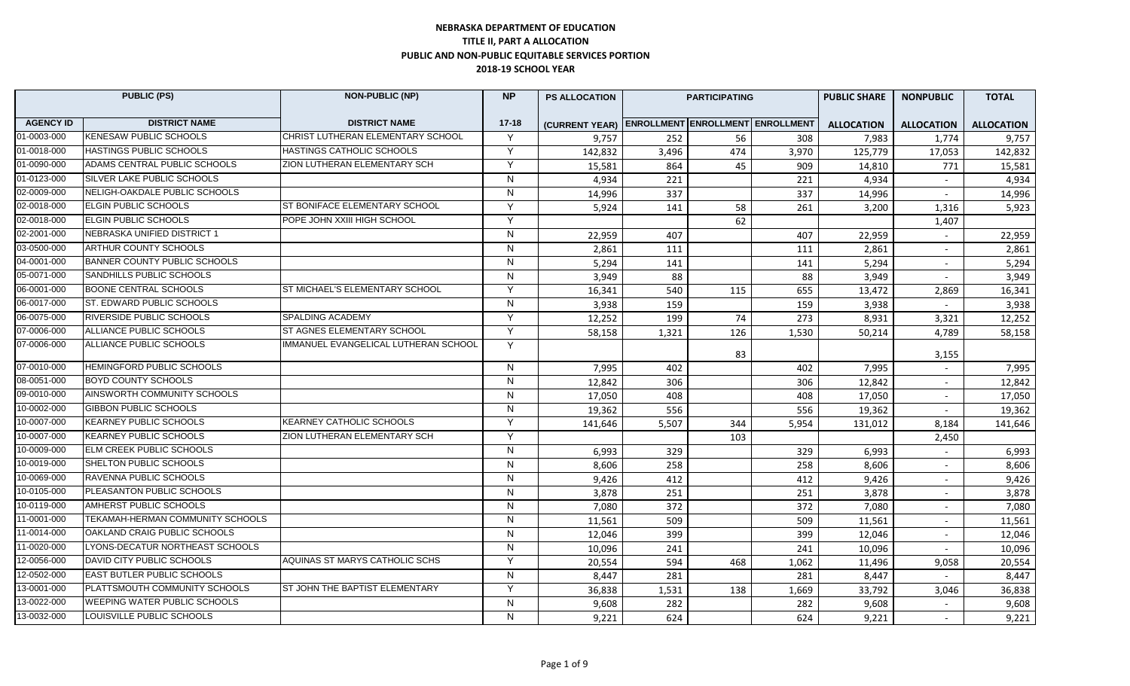## **NEBRASKA DEPARTMENT OF EDUCATION TITLE II, PART A ALLOCATION PUBLIC AND NON-PUBLIC EQUITABLE SERVICES PORTION 2018-19 SCHOOL YEAR**

| <b>PUBLIC (PS)</b> |                                  | <b>NON-PUBLIC (NP)</b>               | <b>NP</b>      | <b>PS ALLOCATION</b>                            | <b>PARTICIPATING</b> |     | <b>PUBLIC SHARE</b> | <b>NONPUBLIC</b>  | <b>TOTAL</b>             |                   |
|--------------------|----------------------------------|--------------------------------------|----------------|-------------------------------------------------|----------------------|-----|---------------------|-------------------|--------------------------|-------------------|
| <b>AGENCY ID</b>   | <b>DISTRICT NAME</b>             | <b>DISTRICT NAME</b>                 | $17 - 18$      | (CURRENT YEAR) ENROLLMENT ENROLLMENT ENROLLMENT |                      |     |                     | <b>ALLOCATION</b> | <b>ALLOCATION</b>        | <b>ALLOCATION</b> |
| 01-0003-000        | <b>KENESAW PUBLIC SCHOOLS</b>    | CHRIST LUTHERAN ELEMENTARY SCHOOL    | $\mathsf{Y}$   | 9,757                                           | 252                  | 56  | 308                 | 7,983             | 1,774                    | 9,757             |
| 01-0018-000        | <b>HASTINGS PUBLIC SCHOOLS</b>   | HASTINGS CATHOLIC SCHOOLS            | Y              | 142,832                                         | 3,496                | 474 | 3,970               | 125,779           | 17,053                   | 142,832           |
| 01-0090-000        | ADAMS CENTRAL PUBLIC SCHOOLS     | ZION LUTHERAN ELEMENTARY SCH         | V              | 15,581                                          | 864                  | 45  | 909                 | 14,810            | 771                      | 15,581            |
| 01-0123-000        | SILVER LAKE PUBLIC SCHOOLS       |                                      | N              | 4,934                                           | 221                  |     | 221                 | 4,934             | $\sim$                   | 4,934             |
| 02-0009-000        | NELIGH-OAKDALE PUBLIC SCHOOLS    |                                      | ${\sf N}$      | 14,996                                          | 337                  |     | 337                 | 14,996            | $\overline{\phantom{a}}$ | 14,996            |
| 02-0018-000        | ELGIN PUBLIC SCHOOLS             | ST BONIFACE ELEMENTARY SCHOOL        | Y              | 5,924                                           | 141                  | 58  | 261                 | 3,200             | 1,316                    | 5,923             |
| 02-0018-000        | ELGIN PUBLIC SCHOOLS             | POPE JOHN XXIII HIGH SCHOOL          | Y              |                                                 |                      | 62  |                     |                   | 1,407                    |                   |
| 02-2001-000        | NEBRASKA UNIFIED DISTRICT 1      |                                      | N              | 22,959                                          | 407                  |     | 407                 | 22,959            |                          | 22,959            |
| 03-0500-000        | ARTHUR COUNTY SCHOOLS            |                                      | $\mathsf{N}$   | 2,861                                           | 111                  |     | 111                 | 2,861             | $\sim$                   | 2,861             |
| 04-0001-000        | BANNER COUNTY PUBLIC SCHOOLS     |                                      | N.             | 5,294                                           | 141                  |     | 141                 | 5,294             |                          | 5,294             |
| 05-0071-000        | SANDHILLS PUBLIC SCHOOLS         |                                      | $\mathsf{N}$   | 3,949                                           | 88                   |     | 88                  | 3,949             |                          | 3,949             |
| 06-0001-000        | <b>BOONE CENTRAL SCHOOLS</b>     | ST MICHAEL'S ELEMENTARY SCHOOL       | Y              | 16,341                                          | 540                  | 115 | 655                 | 13,472            | 2,869                    | 16,341            |
| 06-0017-000        | ST. EDWARD PUBLIC SCHOOLS        |                                      | N              | 3,938                                           | 159                  |     | 159                 | 3,938             |                          | 3,938             |
| 06-0075-000        | RIVERSIDE PUBLIC SCHOOLS         | SPALDING ACADEMY                     | Y              | 12,252                                          | 199                  | 74  | 273                 | 8,931             | 3,321                    | 12,252            |
| 07-0006-000        | ALLIANCE PUBLIC SCHOOLS          | ST AGNES ELEMENTARY SCHOOL           | Y              | 58,158                                          | 1,321                | 126 | 1,530               | 50,214            | 4,789                    | 58,158            |
| 07-0006-000        | ALLIANCE PUBLIC SCHOOLS          | IMMANUEL EVANGELICAL LUTHERAN SCHOOL | Y              |                                                 |                      | 83  |                     |                   | 3,155                    |                   |
| 07-0010-000        | HEMINGFORD PUBLIC SCHOOLS        |                                      | N              | 7,995                                           | 402                  |     | 402                 | 7,995             |                          | 7,995             |
| 08-0051-000        | BOYD COUNTY SCHOOLS              |                                      | N.             | 12,842                                          | 306                  |     | 306                 | 12,842            | $\sim$                   | 12,842            |
| 09-0010-000        | AINSWORTH COMMUNITY SCHOOLS      |                                      | N              | 17,050                                          | 408                  |     | 408                 | 17,050            | $\sim$                   | 17,050            |
| 10-0002-000        | GIBBON PUBLIC SCHOOLS            |                                      | N              | 19,362                                          | 556                  |     | 556                 | 19,362            | $\sim$                   | 19,362            |
| 10-0007-000        | KEARNEY PUBLIC SCHOOLS           | <b>KEARNEY CATHOLIC SCHOOLS</b>      | Y              | 141,646                                         | 5,507                | 344 | 5,954               | 131.012           | 8,184                    | 141,646           |
| 10-0007-000        | KEARNEY PUBLIC SCHOOLS           | ZION LUTHERAN ELEMENTARY SCH         | Y              |                                                 |                      | 103 |                     |                   | 2,450                    |                   |
| 10-0009-000        | ELM CREEK PUBLIC SCHOOLS         |                                      | N              | 6,993                                           | 329                  |     | 329                 | 6,993             | $\sim$                   | 6,993             |
| 10-0019-000        | SHELTON PUBLIC SCHOOLS           |                                      | N              | 8,606                                           | 258                  |     | 258                 | 8,606             | $\sim$                   | 8,606             |
| 10-0069-000        | RAVENNA PUBLIC SCHOOLS           |                                      | $\overline{N}$ | 9,426                                           | 412                  |     | 412                 | 9,426             | $\overline{\phantom{a}}$ | 9,426             |
| 10-0105-000        | PLEASANTON PUBLIC SCHOOLS        |                                      | N.             | 3,878                                           | 251                  |     | 251                 | 3,878             |                          | 3,878             |
| 10-0119-000        | AMHERST PUBLIC SCHOOLS           |                                      | ${\sf N}$      | 7,080                                           | 372                  |     | 372                 | 7,080             |                          | 7,080             |
| 11-0001-000        | TEKAMAH-HERMAN COMMUNITY SCHOOLS |                                      | N              | 11,561                                          | 509                  |     | 509                 | 11,561            | $\overline{\phantom{a}}$ | 11,561            |
| 11-0014-000        | OAKLAND CRAIG PUBLIC SCHOOLS     |                                      | $\mathsf{N}$   | 12,046                                          | 399                  |     | 399                 | 12,046            | $\sim$                   | 12,046            |
| 11-0020-000        | LYONS-DECATUR NORTHEAST SCHOOLS  |                                      | N.             | 10,096                                          | 241                  |     | 241                 | 10,096            |                          | 10,096            |
| 12-0056-000        | DAVID CITY PUBLIC SCHOOLS        | AQUINAS ST MARYS CATHOLIC SCHS       | Y              | 20,554                                          | 594                  | 468 | 1,062               | 11,496            | 9,058                    | 20,554            |
| 12-0502-000        | EAST BUTLER PUBLIC SCHOOLS       |                                      | N              | 8,447                                           | 281                  |     | 281                 | 8.447             |                          | 8,447             |
| 13-0001-000        | PLATTSMOUTH COMMUNITY SCHOOLS    | ST JOHN THE BAPTIST ELEMENTARY       | Y              | 36,838                                          | 1,531                | 138 | 1,669               | 33,792            | 3,046                    | 36,838            |
| 13-0022-000        | WEEPING WATER PUBLIC SCHOOLS     |                                      | $\mathsf{N}$   | 9,608                                           | 282                  |     | 282                 | 9,608             | $\overline{a}$           | 9,608             |
| 13-0032-000        | LOUISVILLE PUBLIC SCHOOLS        |                                      | N              | 9,221                                           | 624                  |     | 624                 | 9,221             | $\overline{a}$           | 9,221             |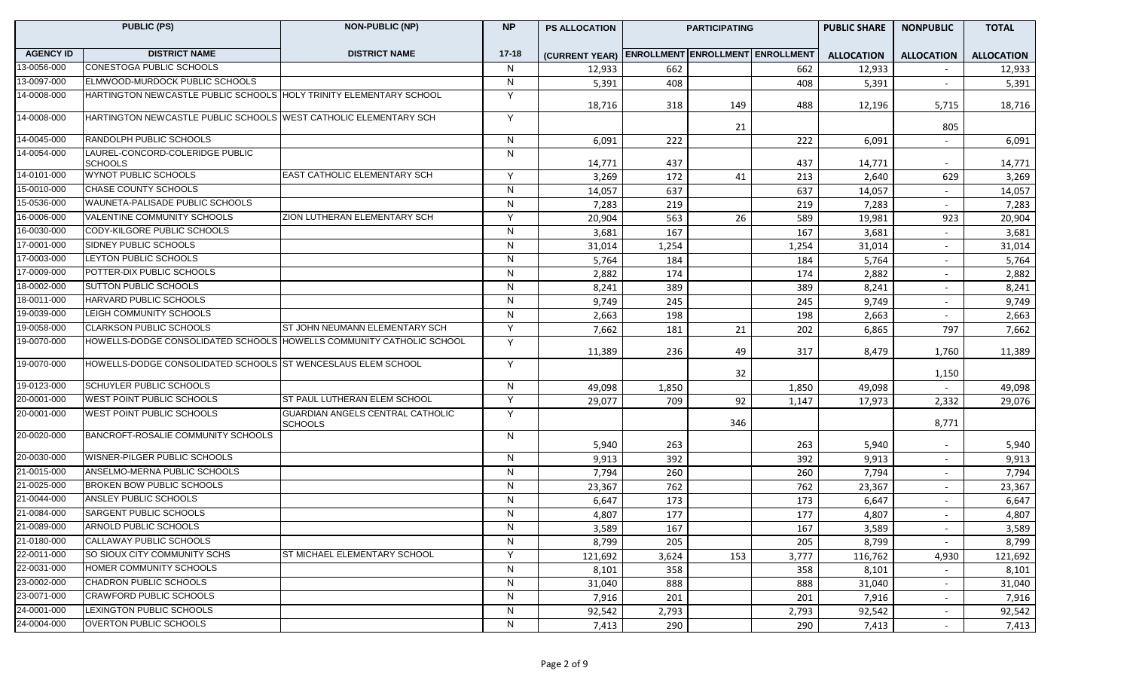|                  | <b>PUBLIC (PS)</b>                                                   | <b>NON-PUBLIC (NP)</b>                             | <b>NP</b>      | <b>PS ALLOCATION</b>                            |       | <b>PARTICIPATING</b> |       | <b>PUBLIC SHARE</b> | <b>NONPUBLIC</b>         |                   |
|------------------|----------------------------------------------------------------------|----------------------------------------------------|----------------|-------------------------------------------------|-------|----------------------|-------|---------------------|--------------------------|-------------------|
| <b>AGENCY ID</b> | <b>DISTRICT NAME</b>                                                 | <b>DISTRICT NAME</b>                               | $17 - 18$      | (CURRENT YEAR) ENROLLMENT ENROLLMENT ENROLLMENT |       |                      |       | <b>ALLOCATION</b>   | <b>ALLOCATION</b>        | <b>ALLOCATION</b> |
| 13-0056-000      | <b>CONESTOGA PUBLIC SCHOOLS</b>                                      |                                                    | N              | 12,933                                          | 662   |                      | 662   | 12,933              |                          | 12,933            |
| 13-0097-000      | ELMWOOD-MURDOCK PUBLIC SCHOOLS                                       |                                                    | N              | 5,391                                           | 408   |                      | 408   | 5,391               | $\sim$                   | 5,391             |
| 14-0008-000      | HARTINGTON NEWCASTLE PUBLIC SCHOOLS HOLY TRINITY ELEMENTARY SCHOOL   |                                                    | Y              | 18,716                                          | 318   | 149                  | 488   | 12,196              | 5,715                    | 18,716            |
| 14-0008-000      | HARTINGTON NEWCASTLE PUBLIC SCHOOLS WEST CATHOLIC ELEMENTARY SCH     |                                                    | Y              |                                                 |       | 21                   |       |                     | 805                      |                   |
| 14-0045-000      | <b>RANDOLPH PUBLIC SCHOOLS</b>                                       |                                                    | $\mathsf{N}$   | 6,091                                           | 222   |                      | 222   | 6,091               |                          | 6,091             |
| 14-0054-000      | LAUREL-CONCORD-COLERIDGE PUBLIC<br><b>SCHOOLS</b>                    |                                                    | N              | 14,771                                          | 437   |                      | 437   | 14,771              | $\sim$                   | 14,771            |
| 14-0101-000      | WYNOT PUBLIC SCHOOLS                                                 | <b>EAST CATHOLIC ELEMENTARY SCH</b>                | Y              | 3,269                                           | 172   | 41                   | 213   | 2,640               | 629                      | 3,269             |
| 15-0010-000      | CHASE COUNTY SCHOOLS                                                 |                                                    | $\mathsf{N}$   | 14,057                                          | 637   |                      | 637   | 14,057              | $\sim$                   | 14,057            |
| 15-0536-000      | WAUNETA-PALISADE PUBLIC SCHOOLS                                      |                                                    | N              | 7,283                                           | 219   |                      | 219   | 7,283               | $\overline{a}$           | 7,283             |
| 16-0006-000      | VALENTINE COMMUNITY SCHOOLS                                          | ZION LUTHERAN ELEMENTARY SCH                       | Y              | 20,904                                          | 563   | 26                   | 589   | 19,981              | 923                      | 20,904            |
| 16-0030-000      | CODY-KILGORE PUBLIC SCHOOLS                                          |                                                    | $\mathsf{N}$   | 3,681                                           | 167   |                      | 167   | 3,681               | $\overline{a}$           | 3,681             |
| 17-0001-000      | SIDNEY PUBLIC SCHOOLS                                                |                                                    | $\mathsf{N}$   | 31,014                                          | 1,254 |                      | 1,254 | 31,014              | $\overline{a}$           | 31,014            |
| 17-0003-000      | LEYTON PUBLIC SCHOOLS                                                |                                                    | $\mathsf{N}$   | 5,764                                           | 184   |                      | 184   | 5,764               |                          | 5,764             |
| 17-0009-000      | POTTER-DIX PUBLIC SCHOOLS                                            |                                                    | $\overline{N}$ | 2,882                                           | 174   |                      | 174   | 2,882               | $\overline{\phantom{a}}$ | 2,882             |
| 18-0002-000      | <b>SUTTON PUBLIC SCHOOLS</b>                                         |                                                    | $\mathsf{N}$   | 8,241                                           | 389   |                      | 389   | 8,241               | $\overline{\phantom{a}}$ | 8,241             |
| 18-0011-000      | <b>HARVARD PUBLIC SCHOOLS</b>                                        |                                                    | N              | 9,749                                           | 245   |                      | 245   | 9,749               | $\overline{\phantom{0}}$ | 9,749             |
| 19-0039-000      | LEIGH COMMUNITY SCHOOLS                                              |                                                    | N              | 2,663                                           | 198   |                      | 198   | 2,663               |                          | 2,663             |
| 19-0058-000      | <b>CLARKSON PUBLIC SCHOOLS</b>                                       | ST JOHN NEUMANN ELEMENTARY SCH                     | Y              | 7,662                                           | 181   | 21                   | 202   | 6,865               | 797                      | 7,662             |
| 19-0070-000      | HOWELLS-DODGE CONSOLIDATED SCHOOLS HOWELLS COMMUNITY CATHOLIC SCHOOL |                                                    | Y              | 11,389                                          | 236   | 49                   | 317   | 8,479               | 1,760                    | 11,389            |
| 19-0070-000      | HOWELLS-DODGE CONSOLIDATED SCHOOLS ST WENCESLAUS ELEM SCHOOL         |                                                    | Y              |                                                 |       | 32                   |       |                     | 1,150                    |                   |
| 19-0123-000      | <b>SCHUYLER PUBLIC SCHOOLS</b>                                       |                                                    | $\mathsf{N}$   | 49,098                                          | 1,850 |                      | 1,850 | 49,098              |                          | 49,098            |
| 20-0001-000      | <b>WEST POINT PUBLIC SCHOOLS</b>                                     | ST PAUL LUTHERAN ELEM SCHOOL                       | Y              | 29,077                                          | 709   | 92                   | 1,147 | 17,973              | 2,332                    | 29,076            |
| 20-0001-000      | <b>WEST POINT PUBLIC SCHOOLS</b>                                     | GUARDIAN ANGELS CENTRAL CATHOLIC<br><b>SCHOOLS</b> | Y              |                                                 |       | 346                  |       |                     | 8,771                    |                   |
| 20-0020-000      | BANCROFT-ROSALIE COMMUNITY SCHOOLS                                   |                                                    | N              | 5,940                                           | 263   |                      | 263   | 5,940               | $\sim$                   | 5,940             |
| 20-0030-000      | <b>WISNER-PILGER PUBLIC SCHOOLS</b>                                  |                                                    | N              | 9,913                                           | 392   |                      | 392   | 9,913               | $\sim$                   | 9,913             |
| 21-0015-000      | ANSELMO-MERNA PUBLIC SCHOOLS                                         |                                                    | $\mathsf{N}$   | 7,794                                           | 260   |                      | 260   | 7,794               | $\sim$                   | 7,794             |
| 21-0025-000      | BROKEN BOW PUBLIC SCHOOLS                                            |                                                    | N              | 23,367                                          | 762   |                      | 762   | 23,367              | $\sim$                   | 23,367            |
| 21-0044-000      | <b>ANSLEY PUBLIC SCHOOLS</b>                                         |                                                    | $\mathsf{N}$   | 6,647                                           | 173   |                      | 173   | 6,647               | $\overline{\phantom{a}}$ | 6,647             |
| 21-0084-000      | <b>SARGENT PUBLIC SCHOOLS</b>                                        |                                                    | $\mathsf{N}$   | 4,807                                           | 177   |                      | 177   | 4,807               | $\overline{\phantom{a}}$ | 4,807             |
| 21-0089-000      | ARNOLD PUBLIC SCHOOLS                                                |                                                    | N              | 3,589                                           | 167   |                      | 167   | 3,589               | $\sim$                   | 3,589             |
| 21-0180-000      | CALLAWAY PUBLIC SCHOOLS                                              |                                                    | N              | 8,799                                           | 205   |                      | 205   | 8,799               | $\sim$                   | 8,799             |
| 22-0011-000      | <b>SO SIOUX CITY COMMUNITY SCHS</b>                                  | ST MICHAEL ELEMENTARY SCHOOL                       | Y              | 121,692                                         | 3,624 | 153                  | 3,777 | 116,762             | 4,930                    | 121,692           |
| 22-0031-000      | HOMER COMMUNITY SCHOOLS                                              |                                                    | $\overline{N}$ | 8,101                                           | 358   |                      | 358   | 8,101               |                          | 8,101             |
| 23-0002-000      | CHADRON PUBLIC SCHOOLS                                               |                                                    | $\mathsf{N}$   | 31,040                                          | 888   |                      | 888   | 31,040              | $\overline{\phantom{a}}$ | 31,040            |
| 23-0071-000      | <b>CRAWFORD PUBLIC SCHOOLS</b>                                       |                                                    | $\mathsf{N}$   | 7,916                                           | 201   |                      | 201   | 7,916               | $\overline{\phantom{0}}$ | 7,916             |
| 24-0001-000      | LEXINGTON PUBLIC SCHOOLS                                             |                                                    | N              | 92,542                                          | 2,793 |                      | 2,793 | 92,542              | $\sim$                   | 92,542            |
| 24-0004-000      | <b>OVERTON PUBLIC SCHOOLS</b>                                        |                                                    | $\mathsf{N}$   | 7,413                                           | 290   |                      | 290   | 7,413               |                          | 7,413             |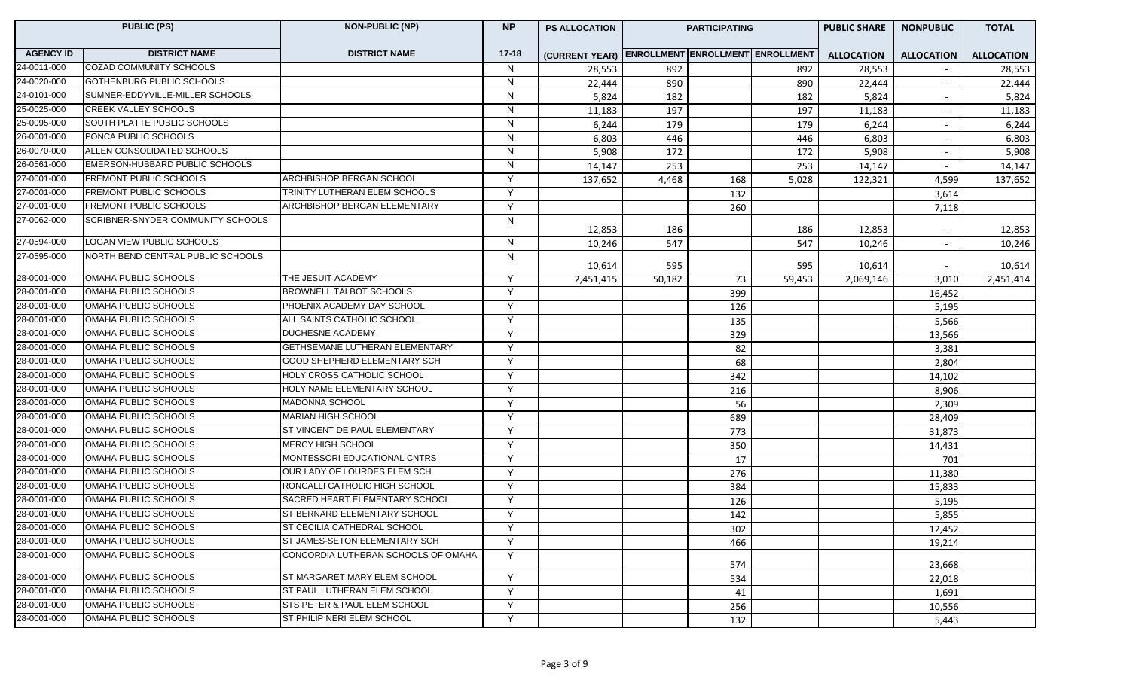|                  | <b>PUBLIC (PS)</b>                       | <b>NON-PUBLIC (NP)</b>              |              | <b>PS ALLOCATION</b>                            |        | <b>PARTICIPATING</b> |        | <b>PUBLIC SHARE</b> | <b>NONPUBLIC</b>  | <b>TOTAL</b>      |
|------------------|------------------------------------------|-------------------------------------|--------------|-------------------------------------------------|--------|----------------------|--------|---------------------|-------------------|-------------------|
| <b>AGENCY ID</b> | <b>DISTRICT NAME</b>                     | <b>DISTRICT NAME</b>                | $17 - 18$    | (CURRENT YEAR) ENROLLMENT ENROLLMENT ENROLLMENT |        |                      |        | <b>ALLOCATION</b>   | <b>ALLOCATION</b> | <b>ALLOCATION</b> |
| 24-0011-000      | COZAD COMMUNITY SCHOOLS                  |                                     | N            | 28,553                                          | 892    |                      | 892    | 28,553              |                   | 28,553            |
| 24-0020-000      | GOTHENBURG PUBLIC SCHOOLS                |                                     | N            | 22,444                                          | 890    |                      | 890    | 22,444              | $\sim$            | 22,444            |
| 24-0101-000      | SUMNER-EDDYVILLE-MILLER SCHOOLS          |                                     | N            | 5,824                                           | 182    |                      | 182    | 5,824               | $\sim$            | 5,824             |
| 25-0025-000      | <b>CREEK VALLEY SCHOOLS</b>              |                                     | N            | 11,183                                          | 197    |                      | 197    | 11,183              | $\sim$            | 11,183            |
| 25-0095-000      | SOUTH PLATTE PUBLIC SCHOOLS              |                                     | N            | 6,244                                           | 179    |                      | 179    | 6,244               |                   | 6,244             |
| 26-0001-000      | PONCA PUBLIC SCHOOLS                     |                                     | N            | 6,803                                           | 446    |                      | 446    | 6,803               |                   | 6,803             |
| 26-0070-000      | ALLEN CONSOLIDATED SCHOOLS               |                                     | $\mathsf{N}$ | 5,908                                           | 172    |                      | 172    | 5,908               | $\sim$            | 5,908             |
| 26-0561-000      | EMERSON-HUBBARD PUBLIC SCHOOLS           |                                     | N            | 14,147                                          | 253    |                      | 253    | 14,147              |                   | 14,147            |
| 27-0001-000      | <b>FREMONT PUBLIC SCHOOLS</b>            | <b>ARCHBISHOP BERGAN SCHOOL</b>     | Y            | 137,652                                         | 4,468  | 168                  | 5,028  | 122,321             | 4,599             | 137,652           |
| 27-0001-000      | <b>FREMONT PUBLIC SCHOOLS</b>            | TRINITY LUTHERAN ELEM SCHOOLS       | Y            |                                                 |        | 132                  |        |                     | 3,614             |                   |
| 27-0001-000      | <b>FREMONT PUBLIC SCHOOLS</b>            | ARCHBISHOP BERGAN ELEMENTARY        | Y            |                                                 |        | 260                  |        |                     | 7,118             |                   |
| 27-0062-000      | <b>SCRIBNER-SNYDER COMMUNITY SCHOOLS</b> |                                     | N            | 12,853                                          | 186    |                      | 186    | 12,853              | $\sim$            | 12,853            |
| 27-0594-000      | <b>LOGAN VIEW PUBLIC SCHOOLS</b>         |                                     | N            | 10,246                                          | 547    |                      | 547    | 10,246              | $\sim$            | 10,246            |
| 27-0595-000      | NORTH BEND CENTRAL PUBLIC SCHOOLS        |                                     | N            |                                                 |        |                      |        |                     |                   |                   |
| 28-0001-000      | OMAHA PUBLIC SCHOOLS                     | THE JESUIT ACADEMY                  | Y            | 10,614                                          | 595    |                      | 595    | 10,614              |                   | 10,614            |
| 28-0001-000      | OMAHA PUBLIC SCHOOLS                     | BROWNELL TALBOT SCHOOLS             | Y            | 2,451,415                                       | 50,182 | 73                   | 59,453 | 2,069,146           | 3,010             | 2,451,414         |
| 28-0001-000      | OMAHA PUBLIC SCHOOLS                     | PHOENIX ACADEMY DAY SCHOOL          | Y            |                                                 |        | 399                  |        |                     | 16,452            |                   |
| 28-0001-000      | OMAHA PUBLIC SCHOOLS                     | ALL SAINTS CATHOLIC SCHOOL          | Y            |                                                 |        | 126                  |        |                     | 5,195             |                   |
| 28-0001-000      | OMAHA PUBLIC SCHOOLS                     | <b>DUCHESNE ACADEMY</b>             | Y            |                                                 |        | 135                  |        |                     | 5,566             |                   |
| 28-0001-000      | OMAHA PUBLIC SCHOOLS                     | GETHSEMANE LUTHERAN ELEMENTARY      | Y            |                                                 |        | 329                  |        |                     | 13,566            |                   |
| 28-0001-000      | OMAHA PUBLIC SCHOOLS                     | <b>GOOD SHEPHERD ELEMENTARY SCH</b> | Y            |                                                 |        | 82                   |        |                     | 3,381             |                   |
| 28-0001-000      | OMAHA PUBLIC SCHOOLS                     | HOLY CROSS CATHOLIC SCHOOL          | Y            |                                                 |        | 68                   |        |                     | 2,804             |                   |
| 28-0001-000      | OMAHA PUBLIC SCHOOLS                     | HOLY NAME ELEMENTARY SCHOOL         | Y            |                                                 |        | 342<br>216           |        |                     | 14,102            |                   |
| 28-0001-000      | OMAHA PUBLIC SCHOOLS                     | MADONNA SCHOOL                      | Y            |                                                 |        | 56                   |        |                     | 8,906<br>2,309    |                   |
| 28-0001-000      | OMAHA PUBLIC SCHOOLS                     | <b>MARIAN HIGH SCHOOL</b>           | Y            |                                                 |        | 689                  |        |                     |                   |                   |
| 28-0001-000      | OMAHA PUBLIC SCHOOLS                     | ST VINCENT DE PAUL ELEMENTARY       | Y            |                                                 |        | 773                  |        |                     | 28,409            |                   |
| 28-0001-000      | OMAHA PUBLIC SCHOOLS                     | MERCY HIGH SCHOOL                   | Y            |                                                 |        | 350                  |        |                     | 31,873            |                   |
| 28-0001-000      | OMAHA PUBLIC SCHOOLS                     | MONTESSORI EDUCATIONAL CNTRS        | Y            |                                                 |        | 17                   |        |                     | 14,431<br>701     |                   |
| 28-0001-000      | OMAHA PUBLIC SCHOOLS                     | OUR LADY OF LOURDES ELEM SCH        | Y            |                                                 |        | 276                  |        |                     | 11,380            |                   |
| 28-0001-000      | OMAHA PUBLIC SCHOOLS                     | RONCALLI CATHOLIC HIGH SCHOOL       | Y            |                                                 |        | 384                  |        |                     | 15,833            |                   |
| 28-0001-000      | OMAHA PUBLIC SCHOOLS                     | SACRED HEART ELEMENTARY SCHOOL      | Y            |                                                 |        | 126                  |        |                     | 5,195             |                   |
| 28-0001-000      | OMAHA PUBLIC SCHOOLS                     | ST BERNARD ELEMENTARY SCHOOL        | Y            |                                                 |        | 142                  |        |                     | 5,855             |                   |
| 28-0001-000      | OMAHA PUBLIC SCHOOLS                     | <b>ST CECILIA CATHEDRAL SCHOOL</b>  | Y            |                                                 |        | 302                  |        |                     | 12,452            |                   |
| 28-0001-000      | OMAHA PUBLIC SCHOOLS                     | ST JAMES-SETON ELEMENTARY SCH       | Y            |                                                 |        | 466                  |        |                     | 19,214            |                   |
| 28-0001-000      | <b>OMAHA PUBLIC SCHOOLS</b>              | CONCORDIA LUTHERAN SCHOOLS OF OMAHA | Y            |                                                 |        |                      |        |                     |                   |                   |
|                  |                                          |                                     |              |                                                 |        | 574                  |        |                     | 23,668            |                   |
| 28-0001-000      | OMAHA PUBLIC SCHOOLS                     | ST MARGARET MARY ELEM SCHOOL        | Y            |                                                 |        | 534                  |        |                     | 22,018            |                   |
| 28-0001-000      | OMAHA PUBLIC SCHOOLS                     | ST PAUL LUTHERAN ELEM SCHOOL        | Y            |                                                 |        | 41                   |        |                     | 1,691             |                   |
| 28-0001-000      | OMAHA PUBLIC SCHOOLS                     | STS PETER & PAUL ELEM SCHOOL        | Υ            |                                                 |        | 256                  |        |                     | 10,556            |                   |
| 28-0001-000      | OMAHA PUBLIC SCHOOLS                     | ST PHILIP NERI ELEM SCHOOL          | Y            |                                                 |        | 132                  |        |                     | 5,443             |                   |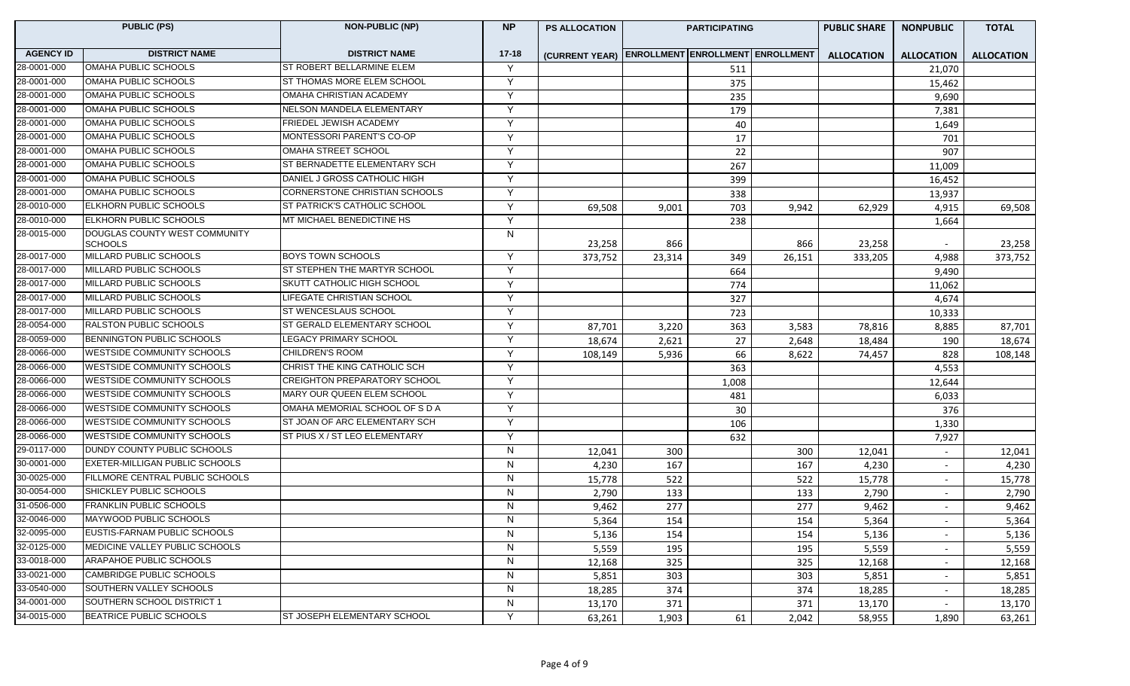| <b>PUBLIC (PS)</b> |                                                 | <b>NON-PUBLIC (NP)</b>              | <b>NP</b>    | <b>PS ALLOCATION</b>                            | <b>PARTICIPATING</b> |       |        | <b>PUBLIC SHARE</b> | <b>NONPUBLIC</b>         | <b>TOTAL</b>      |
|--------------------|-------------------------------------------------|-------------------------------------|--------------|-------------------------------------------------|----------------------|-------|--------|---------------------|--------------------------|-------------------|
| <b>AGENCY ID</b>   | <b>DISTRICT NAME</b>                            | <b>DISTRICT NAME</b>                | $17 - 18$    | (CURRENT YEAR) ENROLLMENT ENROLLMENT ENROLLMENT |                      |       |        | <b>ALLOCATION</b>   | <b>ALLOCATION</b>        | <b>ALLOCATION</b> |
| 28-0001-000        | OMAHA PUBLIC SCHOOLS                            | ST ROBERT BELLARMINE ELEM           | Y            |                                                 |                      | 511   |        |                     | 21,070                   |                   |
| 28-0001-000        | OMAHA PUBLIC SCHOOLS                            | ST THOMAS MORE ELEM SCHOOL          | Y            |                                                 |                      | 375   |        |                     | 15,462                   |                   |
| 28-0001-000        | OMAHA PUBLIC SCHOOLS                            | OMAHA CHRISTIAN ACADEMY             | Y            |                                                 |                      | 235   |        |                     | 9,690                    |                   |
| 28-0001-000        | OMAHA PUBLIC SCHOOLS                            | NELSON MANDELA ELEMENTARY           | Y            |                                                 |                      | 179   |        |                     | 7,381                    |                   |
| 28-0001-000        | OMAHA PUBLIC SCHOOLS                            | FRIEDEL JEWISH ACADEMY              | Y            |                                                 |                      | 40    |        |                     | 1,649                    |                   |
| 28-0001-000        | OMAHA PUBLIC SCHOOLS                            | MONTESSORI PARENT'S CO-OP           | Y            |                                                 |                      | 17    |        |                     | 701                      |                   |
| 28-0001-000        | OMAHA PUBLIC SCHOOLS                            | <b>OMAHA STREET SCHOOL</b>          | Y            |                                                 |                      | 22    |        |                     | 907                      |                   |
| 28-0001-000        | <b>OMAHA PUBLIC SCHOOLS</b>                     | ST BERNADETTE ELEMENTARY SCH        | Y            |                                                 |                      | 267   |        |                     | 11,009                   |                   |
| 28-0001-000        | OMAHA PUBLIC SCHOOLS                            | DANIEL J GROSS CATHOLIC HIGH        | Y            |                                                 |                      | 399   |        |                     | 16,452                   |                   |
| 28-0001-000        | OMAHA PUBLIC SCHOOLS                            | CORNERSTONE CHRISTIAN SCHOOLS       | Y            |                                                 |                      | 338   |        |                     | 13,937                   |                   |
| 28-0010-000        | ELKHORN PUBLIC SCHOOLS                          | ST PATRICK'S CATHOLIC SCHOOL        | Y            | 69,508                                          | 9,001                | 703   | 9,942  | 62,929              | 4,915                    | 69,508            |
| 28-0010-000        | ELKHORN PUBLIC SCHOOLS                          | MT MICHAEL BENEDICTINE HS           | Y            |                                                 |                      | 238   |        |                     | 1,664                    |                   |
| 28-0015-000        | DOUGLAS COUNTY WEST COMMUNITY<br><b>SCHOOLS</b> |                                     | N            | 23,258                                          | 866                  |       | 866    | 23,258              | $\overline{\phantom{a}}$ | 23,258            |
| 28-0017-000        | MILLARD PUBLIC SCHOOLS                          | <b>BOYS TOWN SCHOOLS</b>            | Y            | 373,752                                         | 23,314               | 349   | 26,151 | 333,205             | 4,988                    | 373,752           |
| 28-0017-000        | MILLARD PUBLIC SCHOOLS                          | ST STEPHEN THE MARTYR SCHOOL        | Y            |                                                 |                      | 664   |        |                     | 9,490                    |                   |
| 28-0017-000        | MILLARD PUBLIC SCHOOLS                          | SKUTT CATHOLIC HIGH SCHOOL          | Y            |                                                 |                      | 774   |        |                     | 11,062                   |                   |
| 28-0017-000        | MILLARD PUBLIC SCHOOLS                          | LIFEGATE CHRISTIAN SCHOOL           | Y            |                                                 |                      | 327   |        |                     | 4,674                    |                   |
| 28-0017-000        | MILLARD PUBLIC SCHOOLS                          | ST WENCESLAUS SCHOOL                | Y            |                                                 |                      | 723   |        |                     | 10,333                   |                   |
| 28-0054-000        | RALSTON PUBLIC SCHOOLS                          | ST GERALD ELEMENTARY SCHOOL         | Y            | 87,701                                          | 3,220                | 363   | 3,583  | 78,816              | 8,885                    | 87,701            |
| 28-0059-000        | <b>BENNINGTON PUBLIC SCHOOLS</b>                | <b>LEGACY PRIMARY SCHOOL</b>        | Y            | 18,674                                          | 2,621                | 27    | 2,648  | 18,484              | 190                      | 18,674            |
| 28-0066-000        | <b>WESTSIDE COMMUNITY SCHOOLS</b>               | <b>CHILDREN'S ROOM</b>              | Y            | 108,149                                         | 5,936                | 66    | 8,622  | 74,457              | 828                      | 108,148           |
| 28-0066-000        | <b>WESTSIDE COMMUNITY SCHOOLS</b>               | CHRIST THE KING CATHOLIC SCH        | Y            |                                                 |                      | 363   |        |                     | 4,553                    |                   |
| 28-0066-000        | <b>WESTSIDE COMMUNITY SCHOOLS</b>               | <b>CREIGHTON PREPARATORY SCHOOL</b> | Y            |                                                 |                      | 1,008 |        |                     | 12,644                   |                   |
| 28-0066-000        | <b>WESTSIDE COMMUNITY SCHOOLS</b>               | MARY OUR QUEEN ELEM SCHOOL          | Y            |                                                 |                      | 481   |        |                     | 6,033                    |                   |
| 28-0066-000        | <b>WESTSIDE COMMUNITY SCHOOLS</b>               | OMAHA MEMORIAL SCHOOL OF S D A      | Y            |                                                 |                      | 30    |        |                     | 376                      |                   |
| 28-0066-000        | <b>WESTSIDE COMMUNITY SCHOOLS</b>               | ST JOAN OF ARC ELEMENTARY SCH       | Y            |                                                 |                      | 106   |        |                     | 1,330                    |                   |
| 28-0066-000        | WESTSIDE COMMUNITY SCHOOLS                      | ST PIUS X / ST LEO ELEMENTARY       | Y            |                                                 |                      | 632   |        |                     | 7,927                    |                   |
| 29-0117-000        | DUNDY COUNTY PUBLIC SCHOOLS                     |                                     | N            | 12,041                                          | 300                  |       | 300    | 12,041              | $\sim$                   | 12,041            |
| 30-0001-000        | <b>EXETER-MILLIGAN PUBLIC SCHOOLS</b>           |                                     | N            | 4,230                                           | 167                  |       | 167    | 4,230               | $\sim$                   | 4,230             |
| 30-0025-000        | FILLMORE CENTRAL PUBLIC SCHOOLS                 |                                     | N            | 15,778                                          | 522                  |       | 522    | 15,778              | $\sim$                   | 15,778            |
| 30-0054-000        | SHICKLEY PUBLIC SCHOOLS                         |                                     | N            | 2,790                                           | 133                  |       | 133    | 2,790               | $\sim$                   | 2,790             |
| 31-0506-000        | <b>FRANKLIN PUBLIC SCHOOLS</b>                  |                                     | N            | 9,462                                           | 277                  |       | 277    | 9,462               | $\overline{\phantom{a}}$ | 9,462             |
| 32-0046-000        | MAYWOOD PUBLIC SCHOOLS                          |                                     | N            | 5,364                                           | 154                  |       | 154    | 5,364               |                          | 5,364             |
| 32-0095-000        | EUSTIS-FARNAM PUBLIC SCHOOLS                    |                                     | N            | 5,136                                           | 154                  |       | 154    | 5,136               | $\sim$                   | 5,136             |
| 32-0125-000        | MEDICINE VALLEY PUBLIC SCHOOLS                  |                                     | N            | 5,559                                           | 195                  |       | 195    | 5,559               | $\sim$                   | 5,559             |
| 33-0018-000        | ARAPAHOE PUBLIC SCHOOLS                         |                                     | N            | 12,168                                          | 325                  |       | 325    | 12,168              | $\overline{\phantom{a}}$ | 12,168            |
| 33-0021-000        | <b>CAMBRIDGE PUBLIC SCHOOLS</b>                 |                                     | $\mathsf{N}$ | 5,851                                           | 303                  |       | 303    | 5,851               | $\sim$                   | 5,851             |
| 33-0540-000        | SOUTHERN VALLEY SCHOOLS                         |                                     | N            | 18,285                                          | 374                  |       | 374    | 18,285              | $\sim$                   | 18,285            |
| 34-0001-000        | SOUTHERN SCHOOL DISTRICT 1                      |                                     | N            | 13,170                                          | 371                  |       | 371    | 13,170              |                          | 13,170            |
| 34-0015-000        | BEATRICE PUBLIC SCHOOLS                         | ST JOSEPH ELEMENTARY SCHOOL         | Y            | 63,261                                          | 1,903                | 61    | 2,042  | 58,955              | 1,890                    | 63,261            |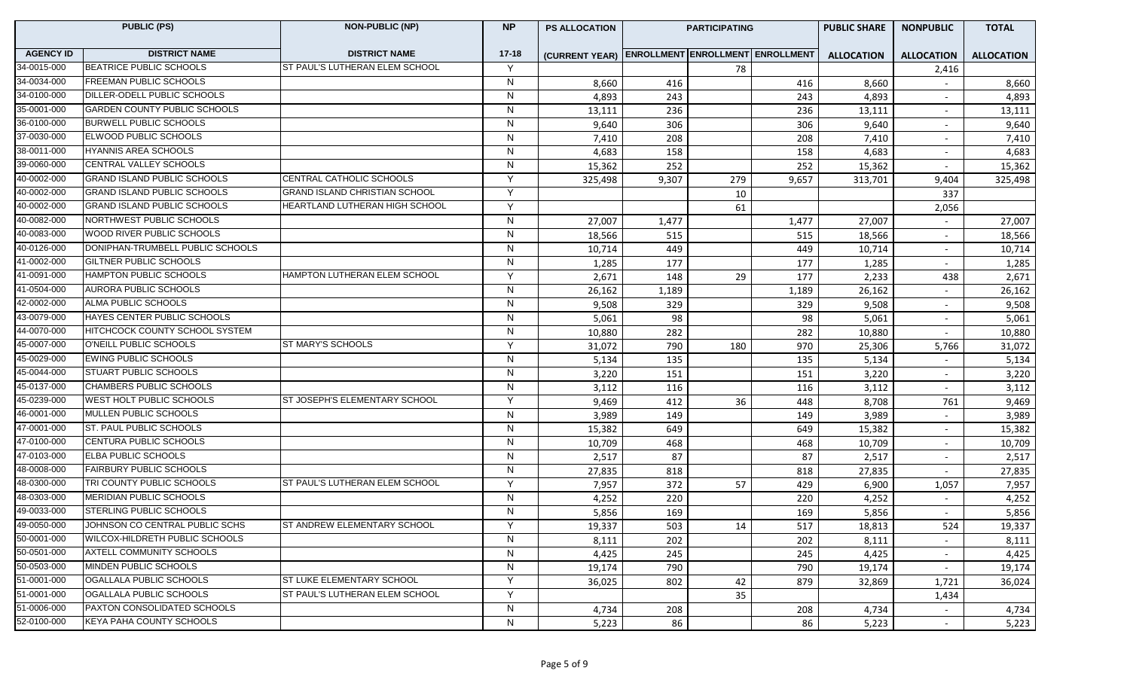| <b>DISTRICT NAME</b><br><b>AGENCY ID</b><br><b>DISTRICT NAME</b><br>$17 - 18$<br>(CURRENT YEAR) ENROLLMENT ENROLLMENT ENROLLMENT<br><b>ALLOCATION</b><br><b>ALLOCATION</b><br><b>ALLOCATION</b><br><b>BEATRICE PUBLIC SCHOOLS</b><br>ST PAUL'S LUTHERAN ELEM SCHOOL<br>34-0015-000<br>Y<br>78<br>2,416<br>FREEMAN PUBLIC SCHOOLS<br>34-0034-000<br>N<br>8,660<br>8,660<br>416<br>416<br>8,660<br>$\sim$<br>34-0100-000<br>DILLER-ODELL PUBLIC SCHOOLS<br>N<br>4,893<br>4,893<br>243<br>243<br>4,893<br>$\sim$<br>35-0001-000<br><b>GARDEN COUNTY PUBLIC SCHOOLS</b><br>N<br>236<br>13,111<br>13,111<br>236<br>13,111<br>$\sim$<br>36-0100-000<br><b>BURWELL PUBLIC SCHOOLS</b><br>N<br>9,640<br>306<br>306<br>9,640<br>9,640<br>$\sim$<br>37-0030-000<br>ELWOOD PUBLIC SCHOOLS<br>N<br>208<br>7,410<br>208<br>7,410<br>7,410<br>38-0011-000<br>HYANNIS AREA SCHOOLS<br>${\sf N}$<br>4,683<br>158<br>4,683<br>4,683<br>158<br>$\sim$<br>39-0060-000<br><b>CENTRAL VALLEY SCHOOLS</b><br>N<br>15,362<br>252<br>252<br>15,362<br>15,362<br>40-0002-000<br><b>GRAND ISLAND PUBLIC SCHOOLS</b><br>CENTRAL CATHOLIC SCHOOLS<br>Y<br>9,307<br>9,657<br>325,498<br>279<br>313,701<br>9,404<br>325,498<br>40-0002-000<br><b>GRAND ISLAND PUBLIC SCHOOLS</b><br><b>GRAND ISLAND CHRISTIAN SCHOOL</b><br>Y<br>10<br>337<br>40-0002-000<br><b>GRAND ISLAND PUBLIC SCHOOLS</b><br>HEARTLAND LUTHERAN HIGH SCHOOL<br>Y<br>61<br>2,056<br>NORTHWEST PUBLIC SCHOOLS<br>N<br>27,007<br>1,477<br>27,007<br>1,477<br>27,007<br>WOOD RIVER PUBLIC SCHOOLS<br>N<br>18,566<br>515<br>515<br>18,566<br>18,566<br>40-0126-000<br>DONIPHAN-TRUMBELL PUBLIC SCHOOLS<br>N<br>449<br>449<br>10,714<br>10,714<br>10,714<br>$\overline{\phantom{a}}$<br>41-0002-000<br>GILTNER PUBLIC SCHOOLS<br>N<br>177<br>1,285<br>177<br>1,285<br>1,285<br>41-0091-000<br>HAMPTON PUBLIC SCHOOLS<br>HAMPTON LUTHERAN ELEM SCHOOL<br>Υ<br>2,671<br>29<br>177<br>2,233<br>2,671<br>148<br>438<br>41-0504-000<br>AURORA PUBLIC SCHOOLS<br>N<br>26,162<br>26,162<br>26,162<br>1,189<br>1,189<br>$\sim$<br>ALMA PUBLIC SCHOOLS<br>42-0002-000<br>N<br>9,508<br>329<br>329<br>9,508<br>9,508<br>$\sim$<br>HAYES CENTER PUBLIC SCHOOLS<br>43-0079-000<br>N<br>5,061<br>98<br>98<br>5,061<br>5,061<br>$\sim$<br>44-0070-000<br>HITCHCOCK COUNTY SCHOOL SYSTEM<br>N<br>282<br>282<br>10,880<br>10,880<br>10,880<br>$\sim$ |
|------------------------------------------------------------------------------------------------------------------------------------------------------------------------------------------------------------------------------------------------------------------------------------------------------------------------------------------------------------------------------------------------------------------------------------------------------------------------------------------------------------------------------------------------------------------------------------------------------------------------------------------------------------------------------------------------------------------------------------------------------------------------------------------------------------------------------------------------------------------------------------------------------------------------------------------------------------------------------------------------------------------------------------------------------------------------------------------------------------------------------------------------------------------------------------------------------------------------------------------------------------------------------------------------------------------------------------------------------------------------------------------------------------------------------------------------------------------------------------------------------------------------------------------------------------------------------------------------------------------------------------------------------------------------------------------------------------------------------------------------------------------------------------------------------------------------------------------------------------------------------------------------------------------------------------------------------------------------------------------------------------------------------------------------------------------------------------------------------------------------------------------------------------------------------------------------------------------------------------------------------------------------------------------------------------------------------------------------------------------------|
|                                                                                                                                                                                                                                                                                                                                                                                                                                                                                                                                                                                                                                                                                                                                                                                                                                                                                                                                                                                                                                                                                                                                                                                                                                                                                                                                                                                                                                                                                                                                                                                                                                                                                                                                                                                                                                                                                                                                                                                                                                                                                                                                                                                                                                                                                                                                                                        |
|                                                                                                                                                                                                                                                                                                                                                                                                                                                                                                                                                                                                                                                                                                                                                                                                                                                                                                                                                                                                                                                                                                                                                                                                                                                                                                                                                                                                                                                                                                                                                                                                                                                                                                                                                                                                                                                                                                                                                                                                                                                                                                                                                                                                                                                                                                                                                                        |
|                                                                                                                                                                                                                                                                                                                                                                                                                                                                                                                                                                                                                                                                                                                                                                                                                                                                                                                                                                                                                                                                                                                                                                                                                                                                                                                                                                                                                                                                                                                                                                                                                                                                                                                                                                                                                                                                                                                                                                                                                                                                                                                                                                                                                                                                                                                                                                        |
|                                                                                                                                                                                                                                                                                                                                                                                                                                                                                                                                                                                                                                                                                                                                                                                                                                                                                                                                                                                                                                                                                                                                                                                                                                                                                                                                                                                                                                                                                                                                                                                                                                                                                                                                                                                                                                                                                                                                                                                                                                                                                                                                                                                                                                                                                                                                                                        |
|                                                                                                                                                                                                                                                                                                                                                                                                                                                                                                                                                                                                                                                                                                                                                                                                                                                                                                                                                                                                                                                                                                                                                                                                                                                                                                                                                                                                                                                                                                                                                                                                                                                                                                                                                                                                                                                                                                                                                                                                                                                                                                                                                                                                                                                                                                                                                                        |
|                                                                                                                                                                                                                                                                                                                                                                                                                                                                                                                                                                                                                                                                                                                                                                                                                                                                                                                                                                                                                                                                                                                                                                                                                                                                                                                                                                                                                                                                                                                                                                                                                                                                                                                                                                                                                                                                                                                                                                                                                                                                                                                                                                                                                                                                                                                                                                        |
|                                                                                                                                                                                                                                                                                                                                                                                                                                                                                                                                                                                                                                                                                                                                                                                                                                                                                                                                                                                                                                                                                                                                                                                                                                                                                                                                                                                                                                                                                                                                                                                                                                                                                                                                                                                                                                                                                                                                                                                                                                                                                                                                                                                                                                                                                                                                                                        |
|                                                                                                                                                                                                                                                                                                                                                                                                                                                                                                                                                                                                                                                                                                                                                                                                                                                                                                                                                                                                                                                                                                                                                                                                                                                                                                                                                                                                                                                                                                                                                                                                                                                                                                                                                                                                                                                                                                                                                                                                                                                                                                                                                                                                                                                                                                                                                                        |
|                                                                                                                                                                                                                                                                                                                                                                                                                                                                                                                                                                                                                                                                                                                                                                                                                                                                                                                                                                                                                                                                                                                                                                                                                                                                                                                                                                                                                                                                                                                                                                                                                                                                                                                                                                                                                                                                                                                                                                                                                                                                                                                                                                                                                                                                                                                                                                        |
|                                                                                                                                                                                                                                                                                                                                                                                                                                                                                                                                                                                                                                                                                                                                                                                                                                                                                                                                                                                                                                                                                                                                                                                                                                                                                                                                                                                                                                                                                                                                                                                                                                                                                                                                                                                                                                                                                                                                                                                                                                                                                                                                                                                                                                                                                                                                                                        |
|                                                                                                                                                                                                                                                                                                                                                                                                                                                                                                                                                                                                                                                                                                                                                                                                                                                                                                                                                                                                                                                                                                                                                                                                                                                                                                                                                                                                                                                                                                                                                                                                                                                                                                                                                                                                                                                                                                                                                                                                                                                                                                                                                                                                                                                                                                                                                                        |
| 40-0082-000<br>40-0083-000                                                                                                                                                                                                                                                                                                                                                                                                                                                                                                                                                                                                                                                                                                                                                                                                                                                                                                                                                                                                                                                                                                                                                                                                                                                                                                                                                                                                                                                                                                                                                                                                                                                                                                                                                                                                                                                                                                                                                                                                                                                                                                                                                                                                                                                                                                                                             |
|                                                                                                                                                                                                                                                                                                                                                                                                                                                                                                                                                                                                                                                                                                                                                                                                                                                                                                                                                                                                                                                                                                                                                                                                                                                                                                                                                                                                                                                                                                                                                                                                                                                                                                                                                                                                                                                                                                                                                                                                                                                                                                                                                                                                                                                                                                                                                                        |
|                                                                                                                                                                                                                                                                                                                                                                                                                                                                                                                                                                                                                                                                                                                                                                                                                                                                                                                                                                                                                                                                                                                                                                                                                                                                                                                                                                                                                                                                                                                                                                                                                                                                                                                                                                                                                                                                                                                                                                                                                                                                                                                                                                                                                                                                                                                                                                        |
|                                                                                                                                                                                                                                                                                                                                                                                                                                                                                                                                                                                                                                                                                                                                                                                                                                                                                                                                                                                                                                                                                                                                                                                                                                                                                                                                                                                                                                                                                                                                                                                                                                                                                                                                                                                                                                                                                                                                                                                                                                                                                                                                                                                                                                                                                                                                                                        |
|                                                                                                                                                                                                                                                                                                                                                                                                                                                                                                                                                                                                                                                                                                                                                                                                                                                                                                                                                                                                                                                                                                                                                                                                                                                                                                                                                                                                                                                                                                                                                                                                                                                                                                                                                                                                                                                                                                                                                                                                                                                                                                                                                                                                                                                                                                                                                                        |
|                                                                                                                                                                                                                                                                                                                                                                                                                                                                                                                                                                                                                                                                                                                                                                                                                                                                                                                                                                                                                                                                                                                                                                                                                                                                                                                                                                                                                                                                                                                                                                                                                                                                                                                                                                                                                                                                                                                                                                                                                                                                                                                                                                                                                                                                                                                                                                        |
|                                                                                                                                                                                                                                                                                                                                                                                                                                                                                                                                                                                                                                                                                                                                                                                                                                                                                                                                                                                                                                                                                                                                                                                                                                                                                                                                                                                                                                                                                                                                                                                                                                                                                                                                                                                                                                                                                                                                                                                                                                                                                                                                                                                                                                                                                                                                                                        |
|                                                                                                                                                                                                                                                                                                                                                                                                                                                                                                                                                                                                                                                                                                                                                                                                                                                                                                                                                                                                                                                                                                                                                                                                                                                                                                                                                                                                                                                                                                                                                                                                                                                                                                                                                                                                                                                                                                                                                                                                                                                                                                                                                                                                                                                                                                                                                                        |
|                                                                                                                                                                                                                                                                                                                                                                                                                                                                                                                                                                                                                                                                                                                                                                                                                                                                                                                                                                                                                                                                                                                                                                                                                                                                                                                                                                                                                                                                                                                                                                                                                                                                                                                                                                                                                                                                                                                                                                                                                                                                                                                                                                                                                                                                                                                                                                        |
|                                                                                                                                                                                                                                                                                                                                                                                                                                                                                                                                                                                                                                                                                                                                                                                                                                                                                                                                                                                                                                                                                                                                                                                                                                                                                                                                                                                                                                                                                                                                                                                                                                                                                                                                                                                                                                                                                                                                                                                                                                                                                                                                                                                                                                                                                                                                                                        |
| 45-0007-000<br>O'NEILL PUBLIC SCHOOLS<br>ST MARY'S SCHOOLS<br>Y<br>790<br>970<br>31,072<br>31,072<br>180<br>25,306<br>5,766                                                                                                                                                                                                                                                                                                                                                                                                                                                                                                                                                                                                                                                                                                                                                                                                                                                                                                                                                                                                                                                                                                                                                                                                                                                                                                                                                                                                                                                                                                                                                                                                                                                                                                                                                                                                                                                                                                                                                                                                                                                                                                                                                                                                                                            |
| 45-0029-000<br><b>EWING PUBLIC SCHOOLS</b><br>N<br>135<br>135<br>5,134<br>5,134<br>5,134                                                                                                                                                                                                                                                                                                                                                                                                                                                                                                                                                                                                                                                                                                                                                                                                                                                                                                                                                                                                                                                                                                                                                                                                                                                                                                                                                                                                                                                                                                                                                                                                                                                                                                                                                                                                                                                                                                                                                                                                                                                                                                                                                                                                                                                                               |
| 45-0044-000<br>STUART PUBLIC SCHOOLS<br>N<br>3,220<br>3,220<br>151<br>151<br>3,220                                                                                                                                                                                                                                                                                                                                                                                                                                                                                                                                                                                                                                                                                                                                                                                                                                                                                                                                                                                                                                                                                                                                                                                                                                                                                                                                                                                                                                                                                                                                                                                                                                                                                                                                                                                                                                                                                                                                                                                                                                                                                                                                                                                                                                                                                     |
| 45-0137-000<br>CHAMBERS PUBLIC SCHOOLS<br>N<br>3,112<br>116<br>3,112<br>3,112<br>116<br>$\sim$                                                                                                                                                                                                                                                                                                                                                                                                                                                                                                                                                                                                                                                                                                                                                                                                                                                                                                                                                                                                                                                                                                                                                                                                                                                                                                                                                                                                                                                                                                                                                                                                                                                                                                                                                                                                                                                                                                                                                                                                                                                                                                                                                                                                                                                                         |
| 45-0239-000<br>WEST HOLT PUBLIC SCHOOLS<br>ST JOSEPH'S ELEMENTARY SCHOOL<br>Y<br>9,469<br>412<br>36<br>8,708<br>9,469<br>448<br>761                                                                                                                                                                                                                                                                                                                                                                                                                                                                                                                                                                                                                                                                                                                                                                                                                                                                                                                                                                                                                                                                                                                                                                                                                                                                                                                                                                                                                                                                                                                                                                                                                                                                                                                                                                                                                                                                                                                                                                                                                                                                                                                                                                                                                                    |
| 46-0001-000<br>MULLEN PUBLIC SCHOOLS<br>N<br>3,989<br>3,989<br>149<br>149<br>3,989                                                                                                                                                                                                                                                                                                                                                                                                                                                                                                                                                                                                                                                                                                                                                                                                                                                                                                                                                                                                                                                                                                                                                                                                                                                                                                                                                                                                                                                                                                                                                                                                                                                                                                                                                                                                                                                                                                                                                                                                                                                                                                                                                                                                                                                                                     |
| 47-0001-000<br>ST. PAUL PUBLIC SCHOOLS<br>N<br>15,382<br>649<br>649<br>15,382<br>15,382<br>$\overline{\phantom{a}}$                                                                                                                                                                                                                                                                                                                                                                                                                                                                                                                                                                                                                                                                                                                                                                                                                                                                                                                                                                                                                                                                                                                                                                                                                                                                                                                                                                                                                                                                                                                                                                                                                                                                                                                                                                                                                                                                                                                                                                                                                                                                                                                                                                                                                                                    |
| 47-0100-000<br>CENTURA PUBLIC SCHOOLS<br>N<br>468<br>10,709<br>10,709<br>468<br>10,709<br>$\overline{\phantom{a}}$                                                                                                                                                                                                                                                                                                                                                                                                                                                                                                                                                                                                                                                                                                                                                                                                                                                                                                                                                                                                                                                                                                                                                                                                                                                                                                                                                                                                                                                                                                                                                                                                                                                                                                                                                                                                                                                                                                                                                                                                                                                                                                                                                                                                                                                     |
| 47-0103-000<br><b>ELBA PUBLIC SCHOOLS</b><br>N<br>87<br>2,517<br>87<br>2,517<br>2,517                                                                                                                                                                                                                                                                                                                                                                                                                                                                                                                                                                                                                                                                                                                                                                                                                                                                                                                                                                                                                                                                                                                                                                                                                                                                                                                                                                                                                                                                                                                                                                                                                                                                                                                                                                                                                                                                                                                                                                                                                                                                                                                                                                                                                                                                                  |
| 48-0008-000<br><b>FAIRBURY PUBLIC SCHOOLS</b><br>N<br>27,835<br>818<br>27,835<br>818<br>27,835                                                                                                                                                                                                                                                                                                                                                                                                                                                                                                                                                                                                                                                                                                                                                                                                                                                                                                                                                                                                                                                                                                                                                                                                                                                                                                                                                                                                                                                                                                                                                                                                                                                                                                                                                                                                                                                                                                                                                                                                                                                                                                                                                                                                                                                                         |
| 48-0300-000<br>TRI COUNTY PUBLIC SCHOOLS<br>ST PAUL'S LUTHERAN ELEM SCHOOL<br>Y<br>7,957<br>372<br>429<br>6,900<br>7,957<br>57<br>1,057                                                                                                                                                                                                                                                                                                                                                                                                                                                                                                                                                                                                                                                                                                                                                                                                                                                                                                                                                                                                                                                                                                                                                                                                                                                                                                                                                                                                                                                                                                                                                                                                                                                                                                                                                                                                                                                                                                                                                                                                                                                                                                                                                                                                                                |
| 48-0303-000<br><b>MERIDIAN PUBLIC SCHOOLS</b><br>${\sf N}$<br>220<br>4,252<br>4,252<br>220<br>4,252<br>$\sim$                                                                                                                                                                                                                                                                                                                                                                                                                                                                                                                                                                                                                                                                                                                                                                                                                                                                                                                                                                                                                                                                                                                                                                                                                                                                                                                                                                                                                                                                                                                                                                                                                                                                                                                                                                                                                                                                                                                                                                                                                                                                                                                                                                                                                                                          |
| 49-0033-000<br>STERLING PUBLIC SCHOOLS<br>N<br>169<br>5,856<br>5,856<br>169<br>5,856                                                                                                                                                                                                                                                                                                                                                                                                                                                                                                                                                                                                                                                                                                                                                                                                                                                                                                                                                                                                                                                                                                                                                                                                                                                                                                                                                                                                                                                                                                                                                                                                                                                                                                                                                                                                                                                                                                                                                                                                                                                                                                                                                                                                                                                                                   |
| 49-0050-000<br>JOHNSON CO CENTRAL PUBLIC SCHS<br>ST ANDREW ELEMENTARY SCHOOL<br>19,337<br>503<br>14<br>517<br>18,813<br>524<br>19,337                                                                                                                                                                                                                                                                                                                                                                                                                                                                                                                                                                                                                                                                                                                                                                                                                                                                                                                                                                                                                                                                                                                                                                                                                                                                                                                                                                                                                                                                                                                                                                                                                                                                                                                                                                                                                                                                                                                                                                                                                                                                                                                                                                                                                                  |
| 50-0001-000<br>N<br>WILCOX-HILDRETH PUBLIC SCHOOLS<br>202<br>202<br>8,111<br>8,111<br>8,111<br>$\sim$                                                                                                                                                                                                                                                                                                                                                                                                                                                                                                                                                                                                                                                                                                                                                                                                                                                                                                                                                                                                                                                                                                                                                                                                                                                                                                                                                                                                                                                                                                                                                                                                                                                                                                                                                                                                                                                                                                                                                                                                                                                                                                                                                                                                                                                                  |
| 50-0501-000<br>AXTELL COMMUNITY SCHOOLS<br>N<br>4,425<br>245<br>245<br>4,425<br>4,425<br>$\sim$                                                                                                                                                                                                                                                                                                                                                                                                                                                                                                                                                                                                                                                                                                                                                                                                                                                                                                                                                                                                                                                                                                                                                                                                                                                                                                                                                                                                                                                                                                                                                                                                                                                                                                                                                                                                                                                                                                                                                                                                                                                                                                                                                                                                                                                                        |
| 50-0503-000<br>MINDEN PUBLIC SCHOOLS<br>N<br>790<br>19,174<br>790<br>19,174<br>19,174<br>$\sim$                                                                                                                                                                                                                                                                                                                                                                                                                                                                                                                                                                                                                                                                                                                                                                                                                                                                                                                                                                                                                                                                                                                                                                                                                                                                                                                                                                                                                                                                                                                                                                                                                                                                                                                                                                                                                                                                                                                                                                                                                                                                                                                                                                                                                                                                        |
| 51-0001-000<br>OGALLALA PUBLIC SCHOOLS<br>ST LUKE ELEMENTARY SCHOOL<br>Y<br>802<br>879<br>36,025<br>42<br>32,869<br>1,721<br>36,024                                                                                                                                                                                                                                                                                                                                                                                                                                                                                                                                                                                                                                                                                                                                                                                                                                                                                                                                                                                                                                                                                                                                                                                                                                                                                                                                                                                                                                                                                                                                                                                                                                                                                                                                                                                                                                                                                                                                                                                                                                                                                                                                                                                                                                    |
| 51-0001-000<br>OGALLALA PUBLIC SCHOOLS<br>ST PAUL'S LUTHERAN ELEM SCHOOL<br>Y<br>35<br>1,434                                                                                                                                                                                                                                                                                                                                                                                                                                                                                                                                                                                                                                                                                                                                                                                                                                                                                                                                                                                                                                                                                                                                                                                                                                                                                                                                                                                                                                                                                                                                                                                                                                                                                                                                                                                                                                                                                                                                                                                                                                                                                                                                                                                                                                                                           |
| 51-0006-000<br>PAXTON CONSOLIDATED SCHOOLS<br>$\overline{N}$<br>208<br>4,734<br>208<br>4,734<br>4,734                                                                                                                                                                                                                                                                                                                                                                                                                                                                                                                                                                                                                                                                                                                                                                                                                                                                                                                                                                                                                                                                                                                                                                                                                                                                                                                                                                                                                                                                                                                                                                                                                                                                                                                                                                                                                                                                                                                                                                                                                                                                                                                                                                                                                                                                  |
| 52-0100-000<br><b>KEYA PAHA COUNTY SCHOOLS</b><br>N<br>5,223<br>86<br>86<br>5,223<br>5,223<br>$\overline{\phantom{a}}$                                                                                                                                                                                                                                                                                                                                                                                                                                                                                                                                                                                                                                                                                                                                                                                                                                                                                                                                                                                                                                                                                                                                                                                                                                                                                                                                                                                                                                                                                                                                                                                                                                                                                                                                                                                                                                                                                                                                                                                                                                                                                                                                                                                                                                                 |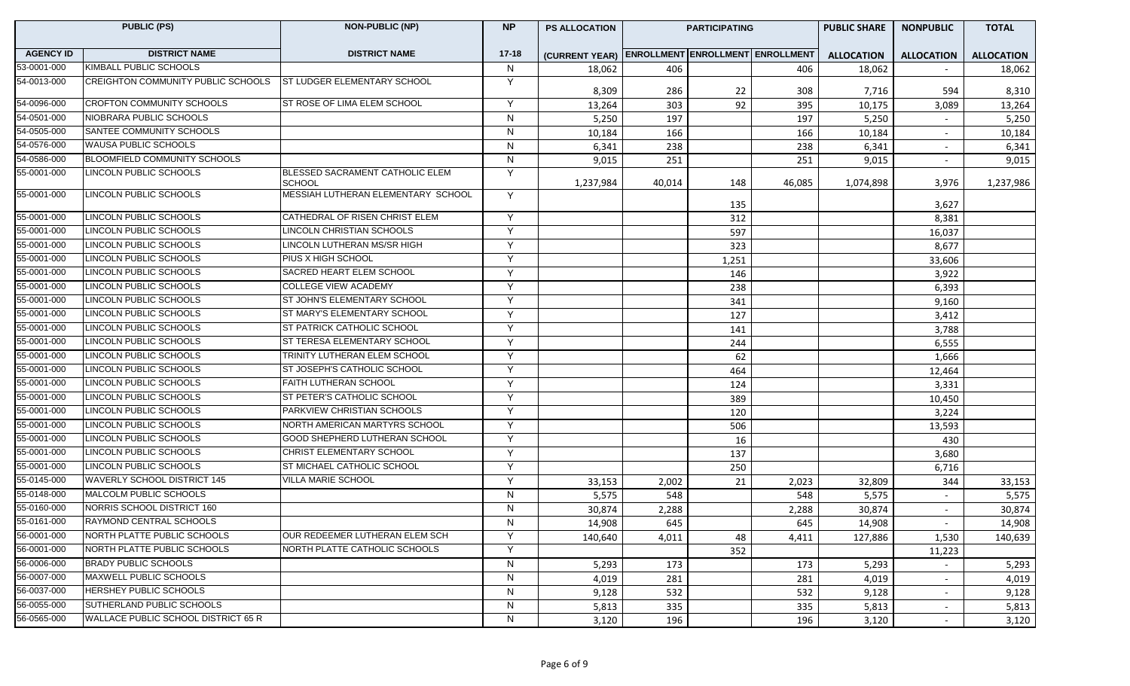|                  | <b>PUBLIC (PS)</b>                  | <b>NON-PUBLIC (NP)</b>                           | <b>NP</b>    | <b>PS ALLOCATION</b>                            |        | <b>PARTICIPATING</b> |        | <b>PUBLIC SHARE</b><br><b>NONPUBLIC</b> |                   | <b>TOTAL</b>      |
|------------------|-------------------------------------|--------------------------------------------------|--------------|-------------------------------------------------|--------|----------------------|--------|-----------------------------------------|-------------------|-------------------|
| <b>AGENCY ID</b> | <b>DISTRICT NAME</b>                | <b>DISTRICT NAME</b>                             | $17 - 18$    | (CURRENT YEAR) ENROLLMENT ENROLLMENT ENROLLMENT |        |                      |        | <b>ALLOCATION</b>                       | <b>ALLOCATION</b> | <b>ALLOCATION</b> |
| 53-0001-000      | KIMBALL PUBLIC SCHOOLS              |                                                  | N            | 18,062                                          | 406    |                      | 406    | 18,062                                  |                   | 18,062            |
| 54-0013-000      | CREIGHTON COMMUNITY PUBLIC SCHOOLS  | <b>ST LUDGER ELEMENTARY SCHOOL</b>               | Y            | 8,309                                           | 286    | 22                   | 308    | 7,716                                   | 594               | 8,310             |
| 54-0096-000      | <b>CROFTON COMMUNITY SCHOOLS</b>    | ST ROSE OF LIMA ELEM SCHOOL                      | Y            | 13,264                                          | 303    | 92                   | 395    | 10,175                                  | 3,089             | 13,264            |
| 54-0501-000      | NIOBRARA PUBLIC SCHOOLS             |                                                  | N            | 5,250                                           | 197    |                      | 197    | 5,250                                   |                   | 5,250             |
| 54-0505-000      | SANTEE COMMUNITY SCHOOLS            |                                                  | ${\sf N}$    | 10,184                                          | 166    |                      | 166    | 10,184                                  | $\sim$            | 10,184            |
| 54-0576-000      | <b>WAUSA PUBLIC SCHOOLS</b>         |                                                  | N            | 6,341                                           | 238    |                      | 238    | 6,341                                   |                   | 6,341             |
| 54-0586-000      | <b>BLOOMFIELD COMMUNITY SCHOOLS</b> |                                                  | N            | 9,015                                           | 251    |                      | 251    | 9,015                                   | $\sim$            | 9,015             |
| 55-0001-000      | LINCOLN PUBLIC SCHOOLS              | BLESSED SACRAMENT CATHOLIC ELEM<br><b>SCHOOL</b> | Y            | 1,237,984                                       | 40,014 | 148                  | 46,085 | 1,074,898                               | 3,976             | 1,237,986         |
| 55-0001-000      | LINCOLN PUBLIC SCHOOLS              | MESSIAH LUTHERAN ELEMENTARY SCHOOL               | Y            |                                                 |        | 135                  |        |                                         | 3,627             |                   |
| 55-0001-000      | LINCOLN PUBLIC SCHOOLS              | CATHEDRAL OF RISEN CHRIST ELEM                   | Y            |                                                 |        | 312                  |        |                                         | 8,381             |                   |
| 55-0001-000      | <b>LINCOLN PUBLIC SCHOOLS</b>       | LINCOLN CHRISTIAN SCHOOLS                        | Y            |                                                 |        | 597                  |        |                                         | 16,037            |                   |
| 55-0001-000      | LINCOLN PUBLIC SCHOOLS              | LINCOLN LUTHERAN MS/SR HIGH                      | Y            |                                                 |        | 323                  |        |                                         | 8,677             |                   |
| 55-0001-000      | LINCOLN PUBLIC SCHOOLS              | PIUS X HIGH SCHOOL                               | Y            |                                                 |        | 1,251                |        |                                         | 33,606            |                   |
| 55-0001-000      | LINCOLN PUBLIC SCHOOLS              | SACRED HEART ELEM SCHOOL                         | Y            |                                                 |        | 146                  |        |                                         | 3,922             |                   |
| 55-0001-000      | LINCOLN PUBLIC SCHOOLS              | <b>COLLEGE VIEW ACADEMY</b>                      | Y            |                                                 |        | 238                  |        |                                         | 6,393             |                   |
| 55-0001-000      | <b>LINCOLN PUBLIC SCHOOLS</b>       | ST JOHN'S ELEMENTARY SCHOOL                      | Y            |                                                 |        | 341                  |        |                                         | 9,160             |                   |
| 55-0001-000      | <b>LINCOLN PUBLIC SCHOOLS</b>       | ST MARY'S ELEMENTARY SCHOOL                      | Y            |                                                 |        | 127                  |        |                                         | 3,412             |                   |
| 55-0001-000      | <b>LINCOLN PUBLIC SCHOOLS</b>       | ST PATRICK CATHOLIC SCHOOL                       | Y            |                                                 |        | 141                  |        |                                         | 3,788             |                   |
| 55-0001-000      | LINCOLN PUBLIC SCHOOLS              | ST TERESA ELEMENTARY SCHOOL                      | Y            |                                                 |        | 244                  |        |                                         | 6,555             |                   |
| 55-0001-000      | LINCOLN PUBLIC SCHOOLS              | TRINITY LUTHERAN ELEM SCHOOL                     | Y            |                                                 |        | 62                   |        |                                         | 1,666             |                   |
| 55-0001-000      | LINCOLN PUBLIC SCHOOLS              | ST JOSEPH'S CATHOLIC SCHOOL                      | Y            |                                                 |        | 464                  |        |                                         | 12,464            |                   |
| 55-0001-000      | LINCOLN PUBLIC SCHOOLS              | FAITH LUTHERAN SCHOOL                            | Y            |                                                 |        | 124                  |        |                                         | 3,331             |                   |
| 55-0001-000      | LINCOLN PUBLIC SCHOOLS              | ST PETER'S CATHOLIC SCHOOL                       | Y            |                                                 |        | 389                  |        |                                         | 10,450            |                   |
| 55-0001-000      | LINCOLN PUBLIC SCHOOLS              | PARKVIEW CHRISTIAN SCHOOLS                       | Y            |                                                 |        | 120                  |        |                                         | 3,224             |                   |
| 55-0001-000      | LINCOLN PUBLIC SCHOOLS              | NORTH AMERICAN MARTYRS SCHOOL                    | Y            |                                                 |        | 506                  |        |                                         | 13,593            |                   |
| 55-0001-000      | LINCOLN PUBLIC SCHOOLS              | GOOD SHEPHERD LUTHERAN SCHOOL                    | Y            |                                                 |        | 16                   |        |                                         | 430               |                   |
| 55-0001-000      | LINCOLN PUBLIC SCHOOLS              | CHRIST ELEMENTARY SCHOOL                         | Y            |                                                 |        | 137                  |        |                                         | 3,680             |                   |
| 55-0001-000      | <b>LINCOLN PUBLIC SCHOOLS</b>       | ST MICHAEL CATHOLIC SCHOOL                       | Y            |                                                 |        | 250                  |        |                                         | 6,716             |                   |
| 55-0145-000      | WAVERLY SCHOOL DISTRICT 145         | VILLA MARIE SCHOOL                               | Y            | 33,153                                          | 2,002  | 21                   | 2,023  | 32,809                                  | 344               | 33,153            |
| 55-0148-000      | MALCOLM PUBLIC SCHOOLS              |                                                  | N            | 5,575                                           | 548    |                      | 548    | 5,575                                   |                   | 5,575             |
| 55-0160-000      | NORRIS SCHOOL DISTRICT 160          |                                                  | N            | 30,874                                          | 2,288  |                      | 2,288  | 30,874                                  |                   | 30,874            |
| 55-0161-000      | RAYMOND CENTRAL SCHOOLS             |                                                  | $\mathsf{N}$ | 14,908                                          | 645    |                      | 645    | 14,908                                  |                   | 14,908            |
| 56-0001-000      | NORTH PLATTE PUBLIC SCHOOLS         | OUR REDEEMER LUTHERAN ELEM SCH                   | Y            | 140,640                                         | 4,011  | 48                   | 4,411  | 127,886                                 | 1,530             | 140,639           |
| 56-0001-000      | NORTH PLATTE PUBLIC SCHOOLS         | NORTH PLATTE CATHOLIC SCHOOLS                    | Y            |                                                 |        | 352                  |        |                                         | 11,223            |                   |
| 56-0006-000      | <b>BRADY PUBLIC SCHOOLS</b>         |                                                  | N            | 5,293                                           | 173    |                      | 173    | 5,293                                   |                   | 5,293             |
| 56-0007-000      | MAXWELL PUBLIC SCHOOLS              |                                                  | N            | 4,019                                           | 281    |                      | 281    | 4,019                                   | $\sim$            | 4,019             |
| 56-0037-000      | HERSHEY PUBLIC SCHOOLS              |                                                  | N            | 9,128                                           | 532    |                      | 532    | 9,128                                   | $\sim$            | 9,128             |
| 56-0055-000      | SUTHERLAND PUBLIC SCHOOLS           |                                                  | N            | 5,813                                           | 335    |                      | 335    | 5,813                                   | $\sim$            | 5,813             |
| 56-0565-000      | WALLACE PUBLIC SCHOOL DISTRICT 65 R |                                                  | N            | 3,120                                           | 196    |                      | 196    | 3,120                                   | $\sim$            | 3,120             |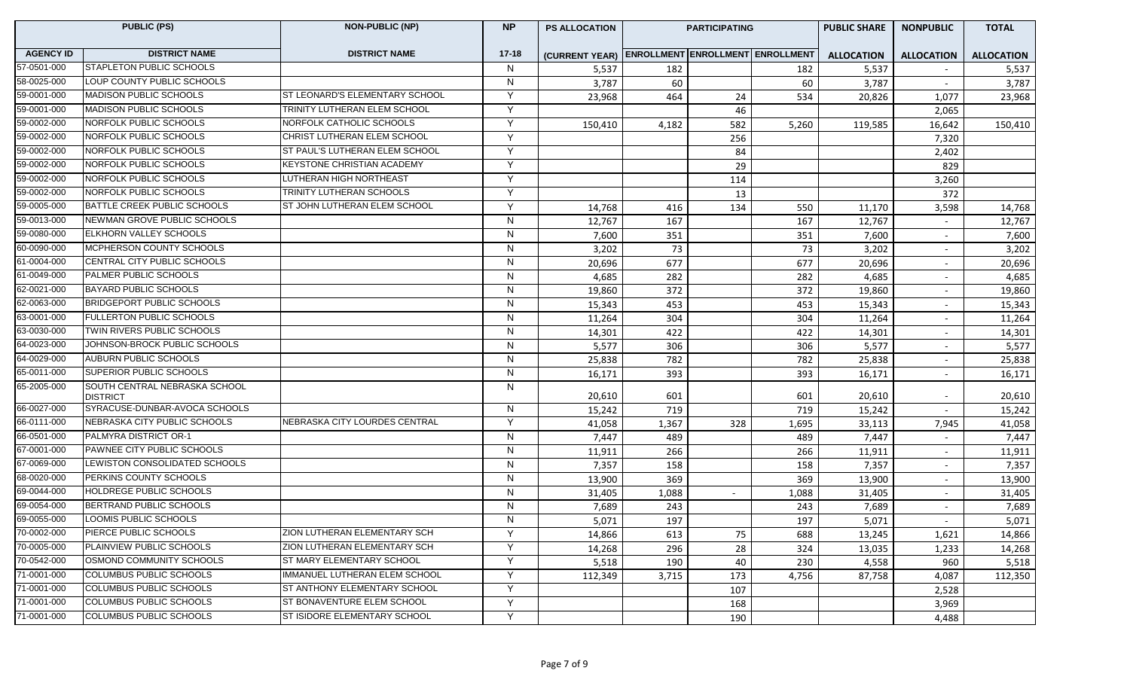|                  | <b>PUBLIC (PS)</b>                               | <b>NON-PUBLIC (NP)</b><br><b>NP</b> |                | <b>PS ALLOCATION</b>                            | <b>PARTICIPATING</b> |     |       | <b>PUBLIC SHARE</b> | <b>NONPUBLIC</b>         | <b>TOTAL</b>      |
|------------------|--------------------------------------------------|-------------------------------------|----------------|-------------------------------------------------|----------------------|-----|-------|---------------------|--------------------------|-------------------|
| <b>AGENCY ID</b> | <b>DISTRICT NAME</b>                             | <b>DISTRICT NAME</b>                | $17 - 18$      | (CURRENT YEAR) ENROLLMENT ENROLLMENT ENROLLMENT |                      |     |       | <b>ALLOCATION</b>   | <b>ALLOCATION</b>        | <b>ALLOCATION</b> |
| 57-0501-000      | <b>STAPLETON PUBLIC SCHOOLS</b>                  |                                     | N              | 5,537                                           | 182                  |     | 182   | 5,537               | $\overline{\phantom{a}}$ | 5,537             |
| 58-0025-000      | LOUP COUNTY PUBLIC SCHOOLS                       |                                     | N              | 3,787                                           | 60                   |     | 60    | 3,787               | $\overline{\phantom{0}}$ | 3,787             |
| 59-0001-000      | <b>MADISON PUBLIC SCHOOLS</b>                    | ST LEONARD'S ELEMENTARY SCHOOL      | Y              | 23,968                                          | 464                  | 24  | 534   | 20,826              | 1,077                    | 23,968            |
| 59-0001-000      | <b>MADISON PUBLIC SCHOOLS</b>                    | TRINITY LUTHERAN ELEM SCHOOL        | Y              |                                                 |                      | 46  |       |                     | 2,065                    |                   |
| 59-0002-000      | NORFOLK PUBLIC SCHOOLS                           | NORFOLK CATHOLIC SCHOOLS            | Y              | 150,410                                         | 4,182                | 582 | 5,260 | 119,585             | 16,642                   | 150,410           |
| 59-0002-000      | NORFOLK PUBLIC SCHOOLS                           | CHRIST LUTHERAN ELEM SCHOOL         | Y              |                                                 |                      | 256 |       |                     | 7,320                    |                   |
| 59-0002-000      | NORFOLK PUBLIC SCHOOLS                           | ST PAUL'S LUTHERAN ELEM SCHOOL      | Y              |                                                 |                      | 84  |       |                     | 2,402                    |                   |
| 59-0002-000      | NORFOLK PUBLIC SCHOOLS                           | <b>KEYSTONE CHRISTIAN ACADEMY</b>   | Y              |                                                 |                      | 29  |       |                     | 829                      |                   |
| 59-0002-000      | NORFOLK PUBLIC SCHOOLS                           | LUTHERAN HIGH NORTHEAST             | Y              |                                                 |                      | 114 |       |                     | 3,260                    |                   |
| 59-0002-000      | NORFOLK PUBLIC SCHOOLS                           | TRINITY LUTHERAN SCHOOLS            | Y              |                                                 |                      | 13  |       |                     | 372                      |                   |
| 59-0005-000      | BATTLE CREEK PUBLIC SCHOOLS                      | ST JOHN LUTHERAN ELEM SCHOOL        | Y              | 14,768                                          | 416                  | 134 | 550   | 11,170              | 3,598                    | 14,768            |
| 59-0013-000      | NEWMAN GROVE PUBLIC SCHOOLS                      |                                     | N              | 12,767                                          | 167                  |     | 167   | 12,767              | $\overline{\phantom{a}}$ | 12,767            |
| 59-0080-000      | <b>ELKHORN VALLEY SCHOOLS</b>                    |                                     | N              | 7,600                                           | 351                  |     | 351   | 7,600               |                          | 7,600             |
| 60-0090-000      | MCPHERSON COUNTY SCHOOLS                         |                                     | N              | 3,202                                           | 73                   |     | 73    | 3,202               |                          | 3,202             |
| 61-0004-000      | CENTRAL CITY PUBLIC SCHOOLS                      |                                     | N              | 20,696                                          | 677                  |     | 677   | 20,696              |                          | 20,696            |
| 61-0049-000      | PALMER PUBLIC SCHOOLS                            |                                     | ${\sf N}$      | 4,685                                           | 282                  |     | 282   | 4,685               | $\overline{\phantom{a}}$ | 4,685             |
| 62-0021-000      | BAYARD PUBLIC SCHOOLS                            |                                     | N              | 19,860                                          | 372                  |     | 372   | 19,860              | $\sim$                   | 19,860            |
| 62-0063-000      | BRIDGEPORT PUBLIC SCHOOLS                        |                                     | N              | 15,343                                          | 453                  |     | 453   | 15,343              | $\overline{\phantom{a}}$ | 15,343            |
| 63-0001-000      | <b>FULLERTON PUBLIC SCHOOLS</b>                  |                                     | N              | 11,264                                          | 304                  |     | 304   | 11,264              | $\overline{\phantom{a}}$ | 11,264            |
| 63-0030-000      | <b>TWIN RIVERS PUBLIC SCHOOLS</b>                |                                     | N              | 14,301                                          | 422                  |     | 422   | 14,301              | $\overline{\phantom{a}}$ | 14,301            |
| 64-0023-000      | JOHNSON-BROCK PUBLIC SCHOOLS                     |                                     | N              | 5,577                                           | 306                  |     | 306   | 5,577               | $\overline{\phantom{a}}$ | 5,577             |
| 64-0029-000      | AUBURN PUBLIC SCHOOLS                            |                                     | ${\sf N}$      | 25,838                                          | 782                  |     | 782   | 25,838              | $\overline{\phantom{0}}$ | 25,838            |
| 65-0011-000      | <b>SUPERIOR PUBLIC SCHOOLS</b>                   |                                     | $\mathsf{N}$   | 16,171                                          | 393                  |     | 393   | 16,171              |                          | 16,171            |
| 65-2005-000      | SOUTH CENTRAL NEBRASKA SCHOOL<br><b>DISTRICT</b> |                                     | $\mathsf{N}$   | 20,610                                          | 601                  |     | 601   | 20,610              | $\overline{\phantom{a}}$ | 20,610            |
| 66-0027-000      | SYRACUSE-DUNBAR-AVOCA SCHOOLS                    |                                     | N              | 15,242                                          | 719                  |     | 719   | 15,242              |                          | 15,242            |
| 66-0111-000      | NEBRASKA CITY PUBLIC SCHOOLS                     | NEBRASKA CITY LOURDES CENTRAL       | Y              | 41,058                                          | 1,367                | 328 | 1,695 | 33,113              | 7,945                    | 41,058            |
| 66-0501-000      | PALMYRA DISTRICT OR-1                            |                                     | $\mathsf{N}$   | 7,447                                           | 489                  |     | 489   | 7,447               |                          | 7,447             |
| 67-0001-000      | <b>PAWNEE CITY PUBLIC SCHOOLS</b>                |                                     | N              | 11,911                                          | 266                  |     | 266   | 11,911              |                          | 11,911            |
| 67-0069-000      | LEWISTON CONSOLIDATED SCHOOLS                    |                                     | $\overline{N}$ | 7,357                                           | 158                  |     | 158   | 7,357               | $\overline{\phantom{a}}$ | 7,357             |
| 68-0020-000      | PERKINS COUNTY SCHOOLS                           |                                     | N              | 13,900                                          | 369                  |     | 369   | 13,900              | $\sim$                   | 13,900            |
| 69-0044-000      | HOLDREGE PUBLIC SCHOOLS                          |                                     | N              | 31,405                                          | 1,088                |     | 1,088 | 31,405              | $\overline{\phantom{a}}$ | 31,405            |
| 69-0054-000      | BERTRAND PUBLIC SCHOOLS                          |                                     | N              | 7,689                                           | 243                  |     | 243   | 7,689               | $\overline{\phantom{a}}$ | 7,689             |
| 69-0055-000      | LOOMIS PUBLIC SCHOOLS                            |                                     | N              | 5,071                                           | 197                  |     | 197   | 5,071               |                          | 5,071             |
| 70-0002-000      | PIERCE PUBLIC SCHOOLS                            | ZION LUTHERAN ELEMENTARY SCH        | Y              | 14,866                                          | 613                  | 75  | 688   | 13,245              | 1,621                    | 14,866            |
| 70-0005-000      | PLAINVIEW PUBLIC SCHOOLS                         | ZION LUTHERAN ELEMENTARY SCH        | Y              | 14,268                                          | 296                  | 28  | 324   | 13,035              | 1,233                    | 14,268            |
| 70-0542-000      | OSMOND COMMUNITY SCHOOLS                         | ST MARY ELEMENTARY SCHOOL           | Y              | 5,518                                           | 190                  | 40  | 230   | 4,558               | 960                      | 5,518             |
| 71-0001-000      | COLUMBUS PUBLIC SCHOOLS                          | IMMANUEL LUTHERAN ELEM SCHOOL       | Y              | 112,349                                         | 3,715                | 173 | 4,756 | 87,758              | 4,087                    | 112,350           |
| 71-0001-000      | COLUMBUS PUBLIC SCHOOLS                          | ST ANTHONY ELEMENTARY SCHOOL        | Y              |                                                 |                      | 107 |       |                     | 2,528                    |                   |
| 71-0001-000      | COLUMBUS PUBLIC SCHOOLS                          | ST BONAVENTURE ELEM SCHOOL          | Y              |                                                 |                      | 168 |       |                     | 3,969                    |                   |
| 71-0001-000      | COLUMBUS PUBLIC SCHOOLS                          | ST ISIDORE ELEMENTARY SCHOOL        | Y              |                                                 |                      | 190 |       |                     | 4,488                    |                   |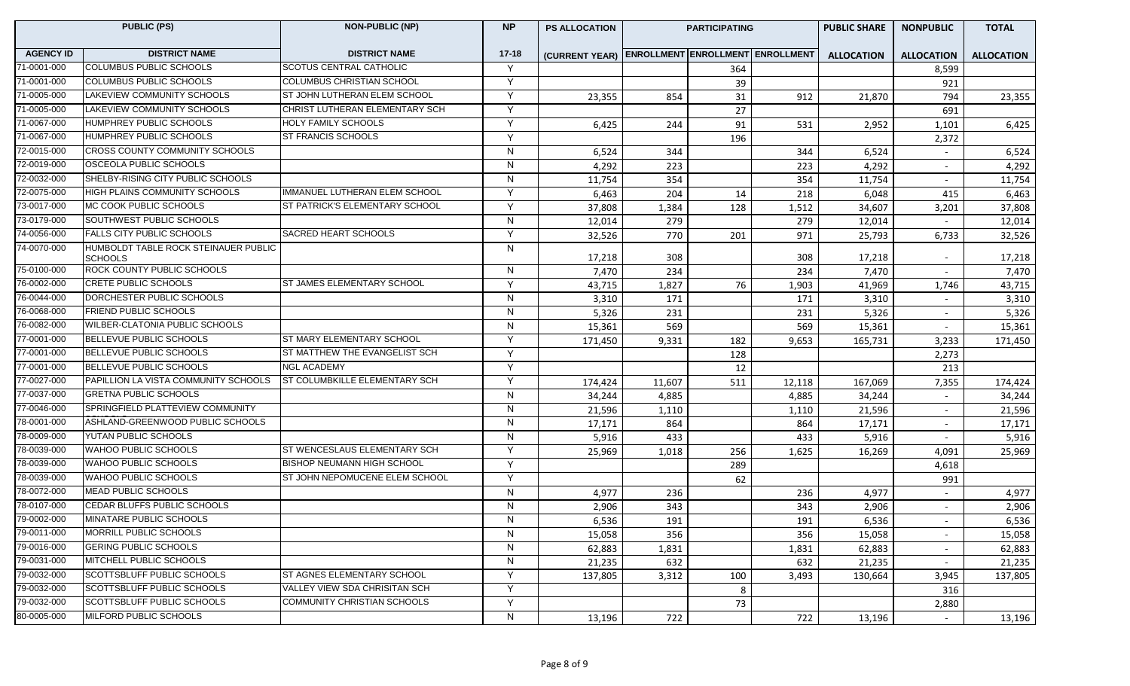| <b>PUBLIC (PS)</b> |                                                        | <b>NON-PUBLIC (NP)</b>            | <b>NP</b>    | <b>PS ALLOCATION</b>                            | <b>PARTICIPATING</b> |     |        | <b>PUBLIC SHARE</b> | <b>NONPUBLIC</b>         | <b>TOTAL</b>      |
|--------------------|--------------------------------------------------------|-----------------------------------|--------------|-------------------------------------------------|----------------------|-----|--------|---------------------|--------------------------|-------------------|
| <b>AGENCY ID</b>   | <b>DISTRICT NAME</b>                                   | <b>DISTRICT NAME</b>              | $17 - 18$    | (CURRENT YEAR) ENROLLMENT ENROLLMENT ENROLLMENT |                      |     |        | <b>ALLOCATION</b>   | <b>ALLOCATION</b>        | <b>ALLOCATION</b> |
| 71-0001-000        | <b>COLUMBUS PUBLIC SCHOOLS</b>                         | <b>SCOTUS CENTRAL CATHOLIC</b>    | Y            |                                                 |                      | 364 |        |                     | 8,599                    |                   |
| 71-0001-000        | COLUMBUS PUBLIC SCHOOLS                                | <b>COLUMBUS CHRISTIAN SCHOOL</b>  | Y            |                                                 |                      | 39  |        |                     | 921                      |                   |
| 71-0005-000        | LAKEVIEW COMMUNITY SCHOOLS                             | ST JOHN LUTHERAN ELEM SCHOOL      | Y            | 23,355                                          | 854                  | 31  | 912    | 21,870              | 794                      | 23,355            |
| 71-0005-000        | <b>LAKEVIEW COMMUNITY SCHOOLS</b>                      | CHRIST LUTHERAN ELEMENTARY SCH    | Y            |                                                 |                      | 27  |        |                     | 691                      |                   |
| 71-0067-000        | HUMPHREY PUBLIC SCHOOLS                                | <b>HOLY FAMILY SCHOOLS</b>        | Y            | 6,425                                           | 244                  | 91  | 531    | 2,952               | 1,101                    | 6,425             |
| 71-0067-000        | HUMPHREY PUBLIC SCHOOLS                                | <b>ST FRANCIS SCHOOLS</b>         | Y            |                                                 |                      | 196 |        |                     | 2,372                    |                   |
| 72-0015-000        | CROSS COUNTY COMMUNITY SCHOOLS                         |                                   | $\mathsf{N}$ | 6,524                                           | 344                  |     | 344    | 6,524               |                          | 6,524             |
| 72-0019-000        | <b>OSCEOLA PUBLIC SCHOOLS</b>                          |                                   | N            | 4,292                                           | 223                  |     | 223    | 4,292               | $\overline{\phantom{a}}$ | 4,292             |
| 72-0032-000        | SHELBY-RISING CITY PUBLIC SCHOOLS                      |                                   | N            | 11,754                                          | 354                  |     | 354    | 11,754              |                          | 11,754            |
| 72-0075-000        | HIGH PLAINS COMMUNITY SCHOOLS                          | IMMANUEL LUTHERAN ELEM SCHOOL     | Y            | 6,463                                           | 204                  | 14  | 218    | 6,048               | 415                      | 6,463             |
| 73-0017-000        | MC COOK PUBLIC SCHOOLS                                 | ST PATRICK'S ELEMENTARY SCHOOL    | Y            | 37,808                                          | 1,384                | 128 | 1,512  | 34,607              | 3,201                    | 37,808            |
| 73-0179-000        | SOUTHWEST PUBLIC SCHOOLS                               |                                   | $\mathsf{N}$ | 12,014                                          | 279                  |     | 279    | 12,014              |                          | 12,014            |
| 74-0056-000        | <b>FALLS CITY PUBLIC SCHOOLS</b>                       | <b>SACRED HEART SCHOOLS</b>       | Y            | 32,526                                          | 770                  | 201 | 971    | 25,793              | 6,733                    | 32,526            |
| 74-0070-000        | HUMBOLDT TABLE ROCK STEINAUER PUBLIC<br><b>SCHOOLS</b> |                                   | N            | 17,218                                          | 308                  |     | 308    | 17,218              | $\overline{\phantom{a}}$ | 17,218            |
| 75-0100-000        | ROCK COUNTY PUBLIC SCHOOLS                             |                                   | N            | 7,470                                           | 234                  |     | 234    | 7,470               | $\overline{\phantom{0}}$ | 7,470             |
| 76-0002-000        | <b>CRETE PUBLIC SCHOOLS</b>                            | ST JAMES ELEMENTARY SCHOOL        | Y            | 43,715                                          | 1,827                | 76  | 1,903  | 41,969              | 1,746                    | 43,715            |
| 76-0044-000        | DORCHESTER PUBLIC SCHOOLS                              |                                   | $\mathsf{N}$ | 3,310                                           | 171                  |     | 171    | 3,310               | $\overline{a}$           | 3,310             |
| 76-0068-000        | <b>FRIEND PUBLIC SCHOOLS</b>                           |                                   | $\mathsf{N}$ | 5,326                                           | 231                  |     | 231    | 5,326               | $\overline{a}$           | 5,326             |
| 76-0082-000        | WILBER-CLATONIA PUBLIC SCHOOLS                         |                                   | N            | 15,361                                          | 569                  |     | 569    | 15,361              |                          | 15,361            |
| 77-0001-000        | <b>BELLEVUE PUBLIC SCHOOLS</b>                         | ST MARY ELEMENTARY SCHOOL         | Y            | 171,450                                         | 9,331                | 182 | 9,653  | 165,731             | 3,233                    | 171,450           |
| 77-0001-000        | <b>BELLEVUE PUBLIC SCHOOLS</b>                         | ST MATTHEW THE EVANGELIST SCH     | Y            |                                                 |                      | 128 |        |                     | 2,273                    |                   |
| 77-0001-000        | BELLEVUE PUBLIC SCHOOLS                                | <b>NGL ACADEMY</b>                | Y            |                                                 |                      | 12  |        |                     | 213                      |                   |
| 77-0027-000        | PAPILLION LA VISTA COMMUNITY SCHOOLS                   | ST COLUMBKILLE ELEMENTARY SCH     | Y            | 174,424                                         | 11,607               | 511 | 12,118 | 167,069             | 7,355                    | 174,424           |
| 77-0037-000        | <b>GRETNA PUBLIC SCHOOLS</b>                           |                                   | N            | 34,244                                          | 4,885                |     | 4,885  | 34,244              | $\overline{\phantom{a}}$ | 34,244            |
| 77-0046-000        | SPRINGFIELD PLATTEVIEW COMMUNITY                       |                                   | N            | 21,596                                          | 1,110                |     | 1,110  | 21,596              | $\overline{\phantom{a}}$ | 21,596            |
| 78-0001-000        | ASHLAND-GREENWOOD PUBLIC SCHOOLS                       |                                   | N            | 17,171                                          | 864                  |     | 864    | 17,171              |                          | 17,171            |
| 78-0009-000        | YUTAN PUBLIC SCHOOLS                                   |                                   | $\mathsf{N}$ | 5,916                                           | 433                  |     | 433    | 5,916               |                          | 5,916             |
| 78-0039-000        | WAHOO PUBLIC SCHOOLS                                   | ST WENCESLAUS ELEMENTARY SCH      | Y            | 25,969                                          | 1,018                | 256 | 1,625  | 16,269              | 4,091                    | 25,969            |
| 78-0039-000        | WAHOO PUBLIC SCHOOLS                                   | <b>BISHOP NEUMANN HIGH SCHOOL</b> | Y            |                                                 |                      | 289 |        |                     | 4,618                    |                   |
| 78-0039-000        | WAHOO PUBLIC SCHOOLS                                   | ST JOHN NEPOMUCENE ELEM SCHOOL    | Y            |                                                 |                      | 62  |        |                     | 991                      |                   |
| 78-0072-000        | <b>MEAD PUBLIC SCHOOLS</b>                             |                                   | $\mathsf{N}$ | 4,977                                           | 236                  |     | 236    | 4,977               | $\overline{\phantom{a}}$ | 4,977             |
| 78-0107-000        | CEDAR BLUFFS PUBLIC SCHOOLS                            |                                   | N            | 2,906                                           | 343                  |     | 343    | 2,906               | $\overline{\phantom{a}}$ | 2,906             |
| 79-0002-000        | MINATARE PUBLIC SCHOOLS                                |                                   | N            | 6,536                                           | 191                  |     | 191    | 6,536               |                          | 6,536             |
| 79-0011-000        | MORRILL PUBLIC SCHOOLS                                 |                                   | N            | 15,058                                          | 356                  |     | 356    | 15,058              | $\overline{a}$           | 15,058            |
| 79-0016-000        | <b>GERING PUBLIC SCHOOLS</b>                           |                                   | $\mathsf{N}$ | 62,883                                          | 1,831                |     | 1,831  | 62,883              | $\overline{\phantom{a}}$ | 62,883            |
| 79-0031-000        | MITCHELL PUBLIC SCHOOLS                                |                                   | $\mathsf{N}$ | 21,235                                          | 632                  |     | 632    | 21,235              |                          | 21,235            |
| 79-0032-000        | SCOTTSBLUFF PUBLIC SCHOOLS                             | ST AGNES ELEMENTARY SCHOOL        | Y            | 137,805                                         | 3,312                | 100 | 3,493  | 130,664             | 3,945                    | 137,805           |
| 79-0032-000        | SCOTTSBLUFF PUBLIC SCHOOLS                             | VALLEY VIEW SDA CHRISITAN SCH     | Y            |                                                 |                      | 8   |        |                     | 316                      |                   |
| 79-0032-000        | <b>SCOTTSBLUFF PUBLIC SCHOOLS</b>                      | COMMUNITY CHRISTIAN SCHOOLS       | Y            |                                                 |                      | 73  |        |                     | 2,880                    |                   |
| 80-0005-000        | MILFORD PUBLIC SCHOOLS                                 |                                   | N            | 13,196                                          | 722                  |     | 722    | 13,196              |                          | 13,196            |